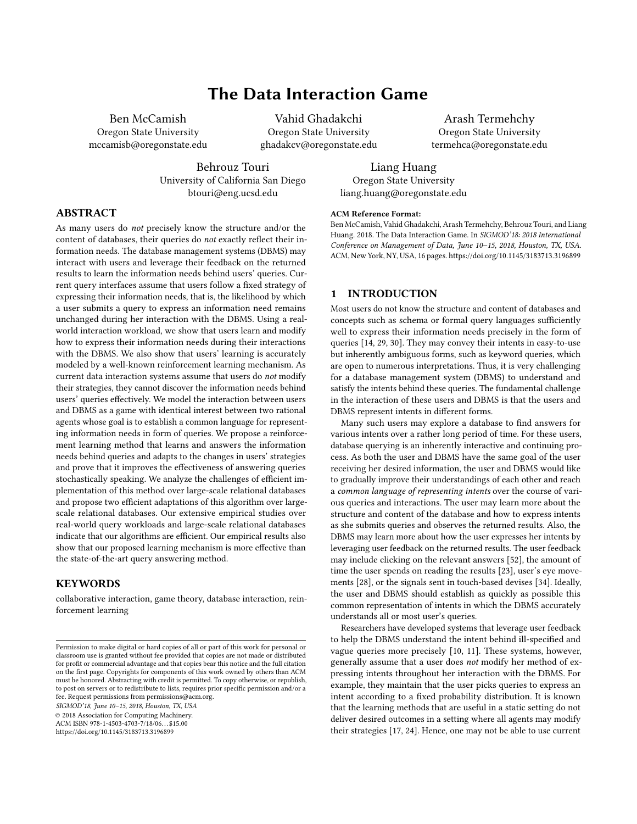# The Data Interaction Game

Ben McCamish Oregon State University mccamisb@oregonstate.edu

Vahid Ghadakchi Oregon State University ghadakcv@oregonstate.edu

Behrouz Touri University of California San Diego btouri@eng.ucsd.edu

Arash Termehchy Oregon State University termehca@oregonstate.edu

Liang Huang Oregon State University liang.huang@oregonstate.edu

## ABSTRACT

As many users do not precisely know the structure and/or the content of databases, their queries do not exactly reflect their information needs. The database management systems (DBMS) may interact with users and leverage their feedback on the returned results to learn the information needs behind users' queries. Current query interfaces assume that users follow a fixed strategy of expressing their information needs, that is, the likelihood by which a user submits a query to express an information need remains unchanged during her interaction with the DBMS. Using a realworld interaction workload, we show that users learn and modify how to express their information needs during their interactions with the DBMS. We also show that users' learning is accurately modeled by a well-known reinforcement learning mechanism. As current data interaction systems assume that users do not modify their strategies, they cannot discover the information needs behind users' queries effectively. We model the interaction between users and DBMS as a game with identical interest between two rational agents whose goal is to establish a common language for representing information needs in form of queries. We propose a reinforcement learning method that learns and answers the information needs behind queries and adapts to the changes in users' strategies and prove that it improves the effectiveness of answering queries stochastically speaking. We analyze the challenges of efficient implementation of this method over large-scale relational databases and propose two efficient adaptations of this algorithm over largescale relational databases. Our extensive empirical studies over real-world query workloads and large-scale relational databases indicate that our algorithms are efficient. Our empirical results also show that our proposed learning mechanism is more effective than the state-of-the-art query answering method.

# **KEYWORDS**

collaborative interaction, game theory, database interaction, reinforcement learning

SIGMOD'18, June 10–15, 2018, Houston, TX, USA

© 2018 Association for Computing Machinery.

ACM ISBN 978-1-4503-4703-7/18/06. . . \$15.00

<https://doi.org/10.1145/3183713.3196899>

#### ACM Reference Format:

Ben McCamish, Vahid Ghadakchi, Arash Termehchy, Behrouz Touri, and Liang Huang. 2018. The Data Interaction Game. In SIGMOD'18: 2018 International Conference on Management of Data, June 10–15, 2018, Houston, TX, USA. ACM, New York, NY, USA, [16](#page-15-0) pages[. https://doi.org/10.1145/3183713.3196899](https://doi.org/10.1145/3183713.3196899)

#### 1 INTRODUCTION

Most users do not know the structure and content of databases and concepts such as schema or formal query languages sufficiently well to express their information needs precisely in the form of queries [\[14,](#page-12-0) [29,](#page-12-1) [30\]](#page-12-2). They may convey their intents in easy-to-use but inherently ambiguous forms, such as keyword queries, which are open to numerous interpretations. Thus, it is very challenging for a database management system (DBMS) to understand and satisfy the intents behind these queries. The fundamental challenge in the interaction of these users and DBMS is that the users and DBMS represent intents in different forms.

Many such users may explore a database to find answers for various intents over a rather long period of time. For these users, database querying is an inherently interactive and continuing process. As both the user and DBMS have the same goal of the user receiving her desired information, the user and DBMS would like to gradually improve their understandings of each other and reach a common language of representing intents over the course of various queries and interactions. The user may learn more about the structure and content of the database and how to express intents as she submits queries and observes the returned results. Also, the DBMS may learn more about how the user expresses her intents by leveraging user feedback on the returned results. The user feedback may include clicking on the relevant answers [\[52\]](#page-12-3), the amount of time the user spends on reading the results [\[23\]](#page-12-4), user's eye movements [\[28\]](#page-12-5), or the signals sent in touch-based devises [\[34\]](#page-12-6). Ideally, the user and DBMS should establish as quickly as possible this common representation of intents in which the DBMS accurately understands all or most user's queries.

Researchers have developed systems that leverage user feedback to help the DBMS understand the intent behind ill-specified and vague queries more precisely [\[10,](#page-12-7) [11\]](#page-12-8). These systems, however, generally assume that a user does not modify her method of expressing intents throughout her interaction with the DBMS. For example, they maintain that the user picks queries to express an intent according to a fixed probability distribution. It is known that the learning methods that are useful in a static setting do not deliver desired outcomes in a setting where all agents may modify their strategies [\[17,](#page-12-9) [24\]](#page-12-10). Hence, one may not be able to use current

Permission to make digital or hard copies of all or part of this work for personal or classroom use is granted without fee provided that copies are not made or distributed for profit or commercial advantage and that copies bear this notice and the full citation on the first page. Copyrights for components of this work owned by others than ACM must be honored. Abstracting with credit is permitted. To copy otherwise, or republish, to post on servers or to redistribute to lists, requires prior specific permission and/or a fee. Request permissions from permissions@acm.org.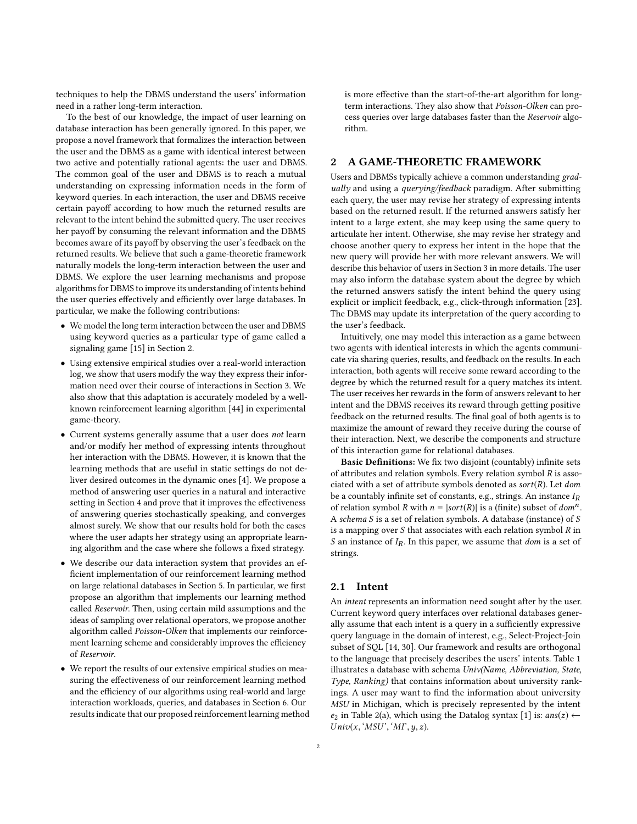techniques to help the DBMS understand the users' information need in a rather long-term interaction.

To the best of our knowledge, the impact of user learning on database interaction has been generally ignored. In this paper, we propose a novel framework that formalizes the interaction between the user and the DBMS as a game with identical interest between two active and potentially rational agents: the user and DBMS. The common goal of the user and DBMS is to reach a mutual understanding on expressing information needs in the form of keyword queries. In each interaction, the user and DBMS receive certain payoff according to how much the returned results are relevant to the intent behind the submitted query. The user receives her payoff by consuming the relevant information and the DBMS becomes aware of its payoff by observing the user's feedback on the returned results. We believe that such a game-theoretic framework naturally models the long-term interaction between the user and DBMS. We explore the user learning mechanisms and propose algorithms for DBMS to improve its understanding of intents behind the user queries effectively and efficiently over large databases. In particular, we make the following contributions:

- We model the long term interaction between the user and DBMS using keyword queries as a particular type of game called a signaling game [\[15\]](#page-12-11) in Section [2.](#page-1-0)
- Using extensive empirical studies over a real-world interaction log, we show that users modify the way they express their information need over their course of interactions in Section [3.](#page-3-0) We also show that this adaptation is accurately modeled by a wellknown reinforcement learning algorithm [\[44\]](#page-12-12) in experimental game-theory.
- Current systems generally assume that a user does not learn and/or modify her method of expressing intents throughout her interaction with the DBMS. However, it is known that the learning methods that are useful in static settings do not deliver desired outcomes in the dynamic ones [\[4\]](#page-12-13). We propose a method of answering user queries in a natural and interactive setting in Section [4](#page-5-0) and prove that it improves the effectiveness of answering queries stochastically speaking, and converges almost surely. We show that our results hold for both the cases where the user adapts her strategy using an appropriate learning algorithm and the case where she follows a fixed strategy.
- We describe our data interaction system that provides an efficient implementation of our reinforcement learning method on large relational databases in Section [5.](#page-7-0) In particular, we first propose an algorithm that implements our learning method called Reservoir. Then, using certain mild assumptions and the ideas of sampling over relational operators, we propose another algorithm called Poisson-Olken that implements our reinforcement learning scheme and considerably improves the efficiency of Reservoir.
- We report the results of our extensive empirical studies on measuring the effectiveness of our reinforcement learning method and the efficiency of our algorithms using real-world and large interaction workloads, queries, and databases in Section [6.](#page-9-0) Our results indicate that our proposed reinforcement learning method

is more effective than the start-of-the-art algorithm for longterm interactions. They also show that Poisson-Olken can process queries over large databases faster than the Reservoir algorithm.

### <span id="page-1-0"></span>2 A GAME-THEORETIC FRAMEWORK

Users and DBMSs typically achieve a common understanding gradually and using a querying/feedback paradigm. After submitting each query, the user may revise her strategy of expressing intents based on the returned result. If the returned answers satisfy her intent to a large extent, she may keep using the same query to articulate her intent. Otherwise, she may revise her strategy and choose another query to express her intent in the hope that the new query will provide her with more relevant answers. We will describe this behavior of users in Section [3](#page-3-0) in more details. The user may also inform the database system about the degree by which the returned answers satisfy the intent behind the query using explicit or implicit feedback, e.g., click-through information [\[23\]](#page-12-4). The DBMS may update its interpretation of the query according to the user's feedback.

Intuitively, one may model this interaction as a game between two agents with identical interests in which the agents communicate via sharing queries, results, and feedback on the results. In each interaction, both agents will receive some reward according to the degree by which the returned result for a query matches its intent. The user receives her rewards in the form of answers relevant to her intent and the DBMS receives its reward through getting positive feedback on the returned results. The final goal of both agents is to maximize the amount of reward they receive during the course of their interaction. Next, we describe the components and structure of this interaction game for relational databases.

Basic Definitions: We fix two disjoint (countably) infinite sets of attributes and relation symbols. Every relation symbol  $R$  is associated with a set of attribute symbols denoted as  $sort(R)$ . Let dom be a countably infinite set of constants, e.g., strings. An instance  $I_R$ of relation symbol R with  $n = |sort(R)|$  is a (finite) subset of dom<sup>n</sup>.<br>A scheme S is a set of relation symbols. A database (instance) of S <sup>A</sup> schema S is a set of relation symbols. A database (instance) of S is a mapping over  $S$  that associates with each relation symbol  $R$  in S an instance of  $I_R$ . In this paper, we assume that *dom* is a set of strings.

### 2.1 Intent

An intent represents an information need sought after by the user. Current keyword query interfaces over relational databases generally assume that each intent is a query in a sufficiently expressive query language in the domain of interest, e.g., Select-Project-Join subset of SQL [\[14,](#page-12-0) [30\]](#page-12-2). Our framework and results are orthogonal to the language that precisely describes the users' intents. Table [1](#page-2-0) illustrates a database with schema Univ(Name, Abbreviation, State, Type, Ranking) that contains information about university rankings. A user may want to find the information about university MSU in Michigan, which is precisely represented by the intent e<sub>2</sub> in Table [2\(a\),](#page-2-1) which using the Datalog syntax [\[1\]](#page-12-14) is:  $ans(z) \leftarrow$  $Univ(x, 'MSU', 'MI', y, z).$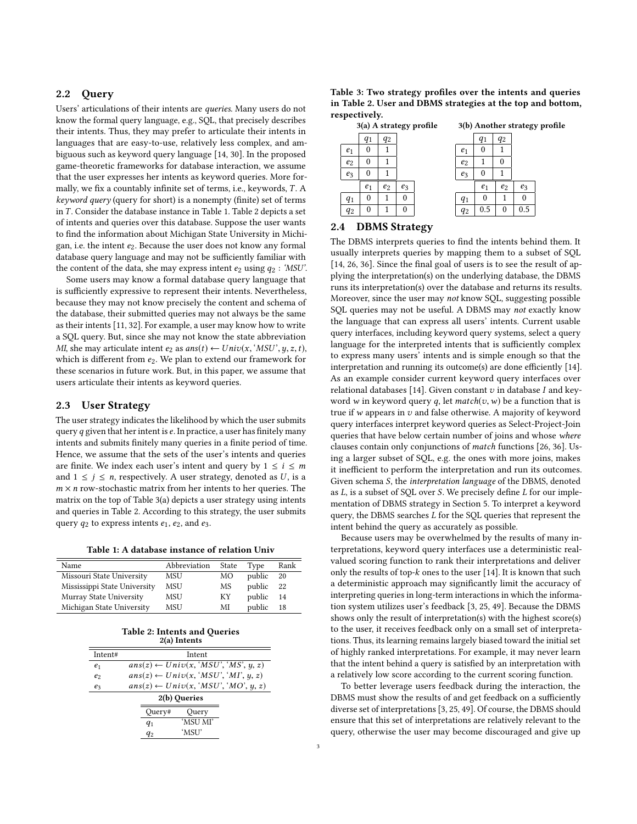### 2.2 Query

Users' articulations of their intents are queries. Many users do not know the formal query language, e.g., SQL, that precisely describes their intents. Thus, they may prefer to articulate their intents in languages that are easy-to-use, relatively less complex, and ambiguous such as keyword query language [\[14,](#page-12-0) [30\]](#page-12-2). In the proposed game-theoretic frameworks for database interaction, we assume that the user expresses her intents as keyword queries. More formally, we fix a countably infinite set of terms, i.e., keywords, T . A keyword query (query for short) is a nonempty (finite) set of terms in  $T$ . Consider the database instance in Table [1.](#page-2-0) Table [2](#page-2-1) depicts a set of intents and queries over this database. Suppose the user wants to find the information about Michigan State University in Michigan, i.e. the intent  $e_2$ . Because the user does not know any formal database query language and may not be sufficiently familiar with the content of the data, she may express intent  $e_2$  using  $q_2$ : 'MSU'.

Some users may know a formal database query language that is sufficiently expressive to represent their intents. Nevertheless, because they may not know precisely the content and schema of the database, their submitted queries may not always be the same as their intents [\[11,](#page-12-8) [32\]](#page-12-15). For example, a user may know how to write a SQL query. But, since she may not know the state abbreviation MI, she may articulate intent  $e_2$  as ans $(t) \leftarrow Univ(x, 'MSU', y, z, t),$ which is different from  $e_2$ . We plan to extend our framework for these scenarios in future work. But, in this paper, we assume that users articulate their intents as keyword queries.

### 2.3 User Strategy

The user strategy indicates the likelihood by which the user submits query  $q$  given that her intent is  $e$ . In practice, a user has finitely many intents and submits finitely many queries in a finite period of time. Hence, we assume that the sets of the user's intents and queries are finite. We index each user's intent and query by  $1 \le i \le m$ and  $1 \leq j \leq n$ , respectively. A user strategy, denoted as U, is a  $m \times n$  row-stochastic matrix from her intents to her queries. The matrix on the top of Table [3\(a\)](#page-2-2) depicts a user strategy using intents and queries in Table [2.](#page-2-1) According to this strategy, the user submits query  $q_2$  to express intents  $e_1$ ,  $e_2$ , and  $e_3$ .

| Table 1: A database instance of relation Univ |  |
|-----------------------------------------------|--|
|-----------------------------------------------|--|

<span id="page-2-0"></span>

| Name                         | Abbreviation | State | Type   | Rank |
|------------------------------|--------------|-------|--------|------|
| Missouri State University    | MSU          | МO    | public | 20   |
| Mississippi State University | MSU          | MS    | public | 22   |
| Murray State University      | <b>MSU</b>   | KY    | public | 14   |
| Michigan State University    | <b>MSU</b>   | MI    | public | 18   |

|  |                | <b>Table 2: Intents and Queries</b> |
|--|----------------|-------------------------------------|
|  | $2(a)$ Intents |                                     |

<span id="page-2-1"></span>

| Intent#        | Intent                                         |
|----------------|------------------------------------------------|
| e <sub>1</sub> | $ans(z) \leftarrow Univ(x, 'MSU', 'MS', y, z)$ |
| e <sub>2</sub> | $ans(z) \leftarrow Univ(x, 'MSU', 'MI', y, z)$ |
| $e_3$          | $ans(z) \leftarrow Univ(x, 'MSU', 'MO', y, z)$ |
|                | 2(b) Queries                                   |
|                | Query<br>Query#                                |
|                | 'MSU MI'<br>$q_1$                              |
|                | 'MSU'<br>$q_2$                                 |
|                |                                                |

<span id="page-2-2"></span>Table 3: Two strategy profiles over the intents and queries in Table [2.](#page-2-1) User and DBMS strategies at the top and bottom, respectively.

|                |                |       |       | 3(a) A strategy profile |                |                |       |       | 3(b) Another strategy profile |
|----------------|----------------|-------|-------|-------------------------|----------------|----------------|-------|-------|-------------------------------|
|                | 41             | q2    |       |                         |                | 91             | q2    |       |                               |
| e <sub>1</sub> |                |       |       |                         | e <sub>1</sub> | 0              |       |       |                               |
| e <sub>2</sub> | $\theta$       |       |       |                         | $e_2$          |                |       |       |                               |
| $e_3$          |                |       |       |                         | $e_3$          |                |       |       |                               |
|                | e <sub>1</sub> | $e_2$ | $e_3$ |                         |                | e <sub>1</sub> | $e_2$ | $e_3$ |                               |
| q1             | $\theta$       |       | 0     |                         | $q_1$          | 0              |       |       |                               |
| $q_2$          |                |       |       |                         | $q_2$          | 0.5            |       | 0.5   |                               |
|                |                |       |       |                         |                |                |       |       |                               |

#### <span id="page-2-3"></span>2.4 DBMS Strategy

The DBMS interprets queries to find the intents behind them. It usually interprets queries by mapping them to a subset of SQL [\[14,](#page-12-0) [26,](#page-12-16) [36\]](#page-12-17). Since the final goal of users is to see the result of applying the interpretation(s) on the underlying database, the DBMS runs its interpretation(s) over the database and returns its results. Moreover, since the user may not know SQL, suggesting possible SQL queries may not be useful. A DBMS may not exactly know the language that can express all users' intents. Current usable query interfaces, including keyword query systems, select a query language for the interpreted intents that is sufficiently complex to express many users' intents and is simple enough so that the interpretation and running its outcome(s) are done efficiently [\[14\]](#page-12-0). As an example consider current keyword query interfaces over relational databases [\[14\]](#page-12-0). Given constant  $v$  in database  $I$  and keyword w in keyword query q, let  $match(v, w)$  be a function that is true if  $w$  appears in  $v$  and false otherwise. A majority of keyword query interfaces interpret keyword queries as Select-Project-Join queries that have below certain number of joins and whose where clauses contain only conjunctions of match functions [\[26,](#page-12-16) [36\]](#page-12-17). Using a larger subset of SQL, e.g. the ones with more joins, makes it inefficient to perform the interpretation and run its outcomes. Given schema S, the interpretation language of the DBMS, denoted as L, is a subset of SQL over S. We precisely define L for our implementation of DBMS strategy in Section [5.](#page-7-0) To interpret a keyword query, the DBMS searches L for the SQL queries that represent the intent behind the query as accurately as possible.

Because users may be overwhelmed by the results of many interpretations, keyword query interfaces use a deterministic realvalued scoring function to rank their interpretations and deliver only the results of top- $k$  ones to the user [\[14\]](#page-12-0). It is known that such a deterministic approach may significantly limit the accuracy of interpreting queries in long-term interactions in which the information system utilizes user's feedback [\[3,](#page-12-18) [25,](#page-12-19) [49\]](#page-12-20). Because the DBMS shows only the result of interpretation(s) with the highest score(s) to the user, it receives feedback only on a small set of interpretations. Thus, its learning remains largely biased toward the initial set of highly ranked interpretations. For example, it may never learn that the intent behind a query is satisfied by an interpretation with a relatively low score according to the current scoring function.

To better leverage users feedback during the interaction, the DBMS must show the results of and get feedback on a sufficiently diverse set of interpretations [\[3,](#page-12-18) [25,](#page-12-19) [49\]](#page-12-20). Of course, the DBMS should ensure that this set of interpretations are relatively relevant to the query, otherwise the user may become discouraged and give up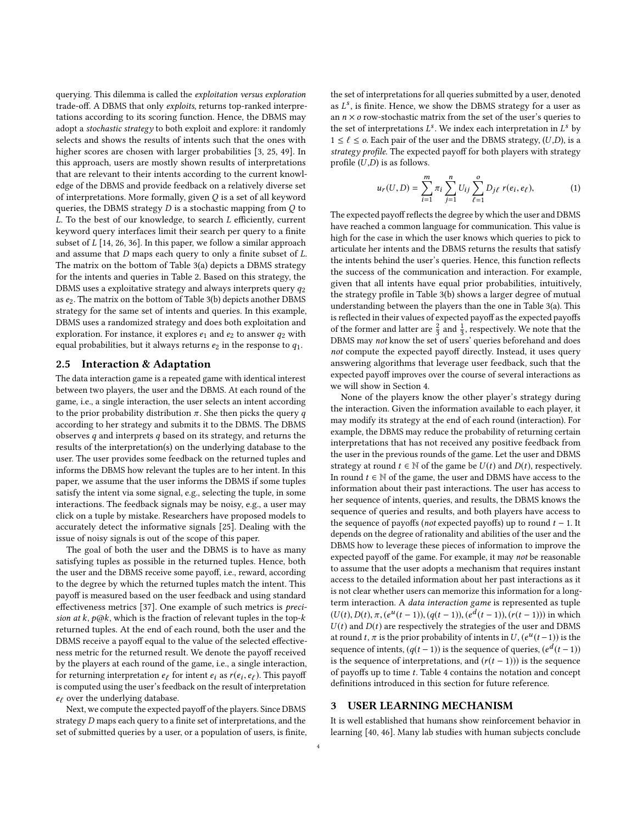querying. This dilemma is called the exploitation versus exploration trade-off. A DBMS that only exploits, returns top-ranked interpretations according to its scoring function. Hence, the DBMS may adopt a stochastic strategy to both exploit and explore: it randomly selects and shows the results of intents such that the ones with higher scores are chosen with larger probabilities [\[3,](#page-12-18) [25,](#page-12-19) [49\]](#page-12-20). In this approach, users are mostly shown results of interpretations that are relevant to their intents according to the current knowledge of the DBMS and provide feedback on a relatively diverse set of interpretations. More formally, given  $Q$  is a set of all keyword queries, the DBMS strategy  $D$  is a stochastic mapping from  $Q$  to L. To the best of our knowledge, to search L efficiently, current keyword query interfaces limit their search per query to a finite subset of L [\[14,](#page-12-0) [26,](#page-12-16) [36\]](#page-12-17). In this paper, we follow a similar approach and assume that D maps each query to only a finite subset of L. The matrix on the bottom of Table [3\(a\)](#page-2-2) depicts a DBMS strategy for the intents and queries in Table [2.](#page-2-1) Based on this strategy, the DBMS uses a exploitative strategy and always interprets query  $q_2$ as  $e_2$ . The matrix on the bottom of Table [3\(b\)](#page-2-2) depicts another DBMS strategy for the same set of intents and queries. In this example, DBMS uses a randomized strategy and does both exploitation and exploration. For instance, it explores  $e_1$  and  $e_2$  to answer  $q_2$  with equal probabilities, but it always returns  $e_2$  in the response to  $q_1$ .

#### 2.5 Interaction & Adaptation

The data interaction game is a repeated game with identical interest between two players, the user and the DBMS. At each round of the game, i.e., a single interaction, the user selects an intent according to the prior probability distribution  $\pi$ . She then picks the query q according to her strategy and submits it to the DBMS. The DBMS observes  $q$  and interprets  $q$  based on its strategy, and returns the results of the interpretation(s) on the underlying database to the user. The user provides some feedback on the returned tuples and informs the DBMS how relevant the tuples are to her intent. In this paper, we assume that the user informs the DBMS if some tuples satisfy the intent via some signal, e.g., selecting the tuple, in some interactions. The feedback signals may be noisy, e.g., a user may click on a tuple by mistake. Researchers have proposed models to accurately detect the informative signals [\[25\]](#page-12-19). Dealing with the issue of noisy signals is out of the scope of this paper.

The goal of both the user and the DBMS is to have as many satisfying tuples as possible in the returned tuples. Hence, both the user and the DBMS receive some payoff, i.e., reward, according to the degree by which the returned tuples match the intent. This payoff is measured based on the user feedback and using standard effectiveness metrics [\[37\]](#page-12-21). One example of such metrics is precision at  $k$ ,  $p@k$ , which is the fraction of relevant tuples in the top- $k$ returned tuples. At the end of each round, both the user and the DBMS receive a payoff equal to the value of the selected effectiveness metric for the returned result. We denote the payoff received by the players at each round of the game, i.e., a single interaction, for returning interpretation  $e_{\ell}$  for intent  $e_i$  as  $r(e_i, e_{\ell})$ . This payoff<br>is computed using the user's feedback on the result of interpretation  $\frac{1}{2}$  is computed using the user's feedback on the result of interpretation  $e_\ell$  over the underlying database.

Next, we compute the expected payoff of the players. Since DBMS strategy D maps each query to a finite set of interpretations, and the set of submitted queries by a user, or a population of users, is finite, the set of interpretations for all queries submitted by a user, denoted as  $L^s$ , is finite. Hence, we show the DBMS strategy for a user as an  $n \times o$  row-stochastic matrix from the set of the user's queries to the set of interpretations  $L^s$ . We index each interpretation in  $L^s$  by  $1 \leq k \leq 0$ . Each pair of the user and the DBMS strategy (*U*, D) is a  $1 \leq \ell \leq o$ . Each pair of the user and the DBMS strategy, (U,D), is a strategy profile. The expected payoff for both players with strategy profile  $(U,D)$  is as follows.

<span id="page-3-1"></span>
$$
u_r(U, D) = \sum_{i=1}^{m} \pi_i \sum_{j=1}^{n} U_{ij} \sum_{\ell=1}^{o} D_{j\ell} r(e_i, e_{\ell}),
$$
 (1)

The expected payoff reflects the degree by which the user and DBMS have reached a common language for communication. This value is high for the case in which the user knows which queries to pick to articulate her intents and the DBMS returns the results that satisfy the intents behind the user's queries. Hence, this function reflects the success of the communication and interaction. For example, given that all intents have equal prior probabilities, intuitively, the strategy profile in Table [3\(b\)](#page-2-2) shows a larger degree of mutual understanding between the players than the one in Table [3\(a\).](#page-2-2) This is reflected in their values of expected payoff as the expected payoffs of the former and latter are  $\frac{2}{3}$  and  $\frac{1}{3}$ , respectively. We note that the DBMS may not know the set of users' queries beforehand and does not compute the expected payoff directly. Instead, it uses query answering algorithms that leverage user feedback, such that the expected payoff improves over the course of several interactions as we will show in Section [4.](#page-5-0)

None of the players know the other player's strategy during the interaction. Given the information available to each player, it may modify its strategy at the end of each round (interaction). For example, the DBMS may reduce the probability of returning certain interpretations that has not received any positive feedback from the user in the previous rounds of the game. Let the user and DBMS strategy at round  $t \in \mathbb{N}$  of the game be  $U(t)$  and  $D(t)$ , respectively. In round  $t \in \mathbb{N}$  of the game, the user and DBMS have access to the information about their past interactions. The user has access to her sequence of intents, queries, and results, the DBMS knows the sequence of queries and results, and both players have access to the sequence of payoffs (*not* expected payoffs) up to round  $t - 1$ . It depends on the degree of rationality and abilities of the user and the DBMS how to leverage these pieces of information to improve the expected payoff of the game. For example, it may not be reasonable to assume that the user adopts a mechanism that requires instant access to the detailed information about her past interactions as it is not clear whether users can memorize this information for a longterm interaction. A data interaction game is represented as tuple  $(U(t), D(t), \pi, (e^u(t-1)), (q(t-1)), (e^d(t-1)), (r(t-1)))$  in which<br> $U(t)$  and  $D(t)$  are respectively the strategies of the user and DRMS  $U(t)$  and  $D(t)$  are respectively the strategies of the user and DBMS at round t,  $\pi$  is the prior probability of intents in U,  $(e^u(t-1))$  is the sequence of intents  $(e^{d}(t-1))$  is the sequence of quories  $(e^{d}(t-1))$ sequence of intents,  $(q(t-1))$  is the sequence of queries,  $(e^d(t-1))$ <br>is the sequence of interpretations, and  $(r(t-1))$  is the sequence is the sequence of interpretations, and  $(r(t-1))$  is the sequence of payoffs up to time t. Table [4](#page-4-0) contains the notation and concept definitions introduced in this section for future reference.

### <span id="page-3-0"></span>3 USER LEARNING MECHANISM

It is well established that humans show reinforcement behavior in learning [\[40,](#page-12-22) [46\]](#page-12-23). Many lab studies with human subjects conclude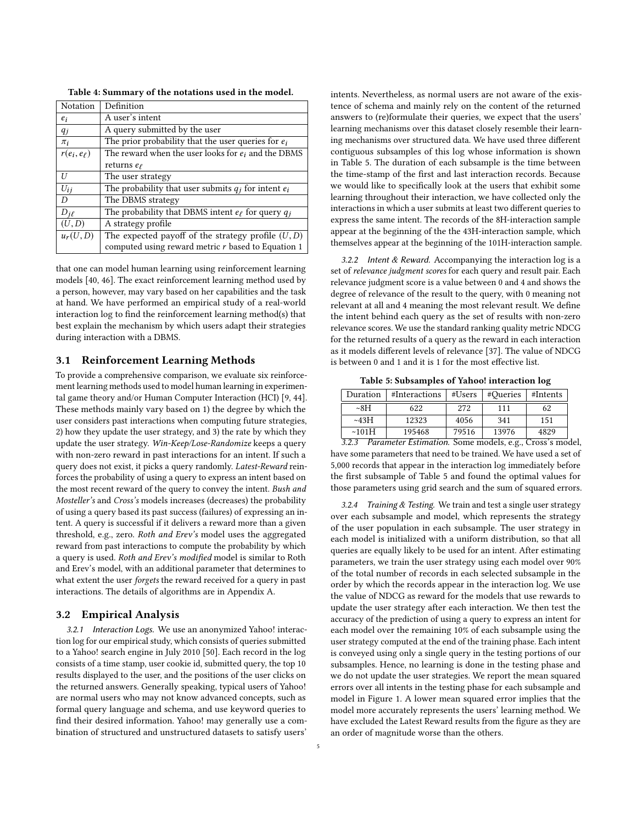<span id="page-4-0"></span>

| Table 4: Summary of the notations used in the model. |  |  |
|------------------------------------------------------|--|--|
|------------------------------------------------------|--|--|

| Notation         | Definition                                               |  |  |
|------------------|----------------------------------------------------------|--|--|
| $e_i$            | A user's intent                                          |  |  |
| $q_i$            | A query submitted by the user                            |  |  |
| $\pi_i$          | The prior probability that the user queries for $e_i$    |  |  |
| $r(e_i, e_\ell)$ | The reward when the user looks for $e_i$ and the DBMS    |  |  |
|                  | returns e <sub>f</sub>                                   |  |  |
| U                | The user strategy                                        |  |  |
| $U_{ij}$         | The probability that user submits $q_i$ for intent $e_i$ |  |  |
| D                | The DBMS strategy                                        |  |  |
| $D_{j\ell}$      | The probability that DBMS intent $e_f$ for query $q_i$   |  |  |
| (U,D)            | A strategy profile                                       |  |  |
| $u_r(U,D)$       | The expected payoff of the strategy profile $(U, D)$     |  |  |
|                  | computed using reward metric $r$ based to Equation 1     |  |  |
|                  |                                                          |  |  |

that one can model human learning using reinforcement learning models [\[40,](#page-12-22) [46\]](#page-12-23). The exact reinforcement learning method used by a person, however, may vary based on her capabilities and the task at hand. We have performed an empirical study of a real-world interaction log to find the reinforcement learning method(s) that best explain the mechanism by which users adapt their strategies during interaction with a DBMS.

### 3.1 Reinforcement Learning Methods

To provide a comprehensive comparison, we evaluate six reinforcement learning methods used to model human learning in experimental game theory and/or Human Computer Interaction (HCI) [\[9,](#page-12-24) [44\]](#page-12-12). These methods mainly vary based on 1) the degree by which the user considers past interactions when computing future strategies, 2) how they update the user strategy, and 3) the rate by which they update the user strategy. Win-Keep/Lose-Randomize keeps a query with non-zero reward in past interactions for an intent. If such a query does not exist, it picks a query randomly. Latest-Reward reinforces the probability of using a query to express an intent based on the most recent reward of the query to convey the intent. Bush and Mosteller's and Cross's models increases (decreases) the probability of using a query based its past success (failures) of expressing an intent. A query is successful if it delivers a reward more than a given threshold, e.g., zero. Roth and Erev's model uses the aggregated reward from past interactions to compute the probability by which a query is used. Roth and Erev's modified model is similar to Roth and Erev's model, with an additional parameter that determines to what extent the user *forgets* the reward received for a query in past interactions. The details of algorithms are in Appendix [A.](#page-12-25)

#### <span id="page-4-2"></span>3.2 Empirical Analysis

3.2.1 Interaction Logs. We use an anonymized Yahoo! interaction log for our empirical study, which consists of queries submitted to a Yahoo! search engine in July 2010 [\[50\]](#page-12-26). Each record in the log consists of a time stamp, user cookie id, submitted query, the top 10 results displayed to the user, and the positions of the user clicks on the returned answers. Generally speaking, typical users of Yahoo! are normal users who may not know advanced concepts, such as formal query language and schema, and use keyword queries to find their desired information. Yahoo! may generally use a combination of structured and unstructured datasets to satisfy users'

intents. Nevertheless, as normal users are not aware of the existence of schema and mainly rely on the content of the returned answers to (re)formulate their queries, we expect that the users' learning mechanisms over this dataset closely resemble their learning mechanisms over structured data. We have used three different contiguous subsamples of this log whose information is shown in Table [5.](#page-4-1) The duration of each subsample is the time between the time-stamp of the first and last interaction records. Because we would like to specifically look at the users that exhibit some learning throughout their interaction, we have collected only the interactions in which a user submits at least two different queries to express the same intent. The records of the 8H-interaction sample appear at the beginning of the the 43H-interaction sample, which themselves appear at the beginning of the 101H-interaction sample.

3.2.2 Intent & Reward. Accompanying the interaction log is a set of relevance judgment scores for each query and result pair. Each relevance judgment score is a value between 0 and 4 and shows the degree of relevance of the result to the query, with 0 meaning not relevant at all and 4 meaning the most relevant result. We define the intent behind each query as the set of results with non-zero relevance scores. We use the standard ranking quality metric NDCG for the returned results of a query as the reward in each interaction as it models different levels of relevance [\[37\]](#page-12-21). The value of NDCG is between 0 and 1 and it is 1 for the most effective list.

Table 5: Subsamples of Yahoo! interaction log

<span id="page-4-1"></span>

| Duration   | #Interactions        | #Users      | #Oueries        | #Interest     |
|------------|----------------------|-------------|-----------------|---------------|
| $~\sim$ 8H | 622                  | 2.72        | 111             | 62            |
| ~143H      | 12323                | 4056        | 341             | 151           |
| ~101H      | 195468               | 79516       | 13976           | 4829          |
| 2 7 2      | Daramatar Ectimation | Samo modolc | $\sim$ $\alpha$ | ່າລວດ<br>cmod |

3.2.3 Parameter Estimation. Some models, e.g., Cross's model, have some parameters that need to be trained. We have used a set of 5,000 records that appear in the interaction log immediately before the first subsample of Table [5](#page-4-1) and found the optimal values for those parameters using grid search and the sum of squared errors.

3.2.4 Training & Testing. We train and test a single user strategy over each subsample and model, which represents the strategy of the user population in each subsample. The user strategy in each model is initialized with a uniform distribution, so that all queries are equally likely to be used for an intent. After estimating parameters, we train the user strategy using each model over 90% of the total number of records in each selected subsample in the order by which the records appear in the interaction log. We use the value of NDCG as reward for the models that use rewards to update the user strategy after each interaction. We then test the accuracy of the prediction of using a query to express an intent for each model over the remaining 10% of each subsample using the user strategy computed at the end of the training phase. Each intent is conveyed using only a single query in the testing portions of our subsamples. Hence, no learning is done in the testing phase and we do not update the user strategies. We report the mean squared errors over all intents in the testing phase for each subsample and model in Figure [1.](#page-5-1) A lower mean squared error implies that the model more accurately represents the users' learning method. We have excluded the Latest Reward results from the figure as they are an order of magnitude worse than the others.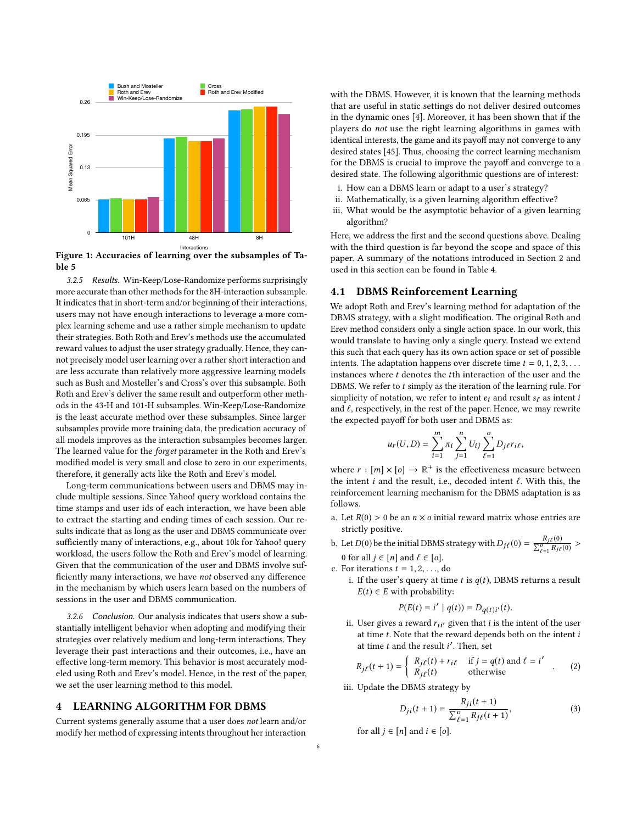<span id="page-5-1"></span>

Figure 1: Accuracies of learning over the subsamples of Table [5](#page-4-1)

3.2.5 Results. Win-Keep/Lose-Randomize performs surprisingly more accurate than other methods for the 8H-interaction subsample. It indicates that in short-term and/or beginning of their interactions, users may not have enough interactions to leverage a more complex learning scheme and use a rather simple mechanism to update their strategies. Both Roth and Erev's methods use the accumulated reward values to adjust the user strategy gradually. Hence, they cannot precisely model user learning over a rather short interaction and are less accurate than relatively more aggressive learning models such as Bush and Mosteller's and Cross's over this subsample. Both Roth and Erev's deliver the same result and outperform other methods in the 43-H and 101-H subsamples. Win-Keep/Lose-Randomize is the least accurate method over these subsamples. Since larger subsamples provide more training data, the predication accuracy of all models improves as the interaction subsamples becomes larger. The learned value for the forget parameter in the Roth and Erev's modified model is very small and close to zero in our experiments, therefore, it generally acts like the Roth and Erev's model.

Long-term communications between users and DBMS may include multiple sessions. Since Yahoo! query workload contains the time stamps and user ids of each interaction, we have been able to extract the starting and ending times of each session. Our results indicate that as long as the user and DBMS communicate over sufficiently many of interactions, e.g., about 10k for Yahoo! query workload, the users follow the Roth and Erev's model of learning. Given that the communication of the user and DBMS involve sufficiently many interactions, we have not observed any difference in the mechanism by which users learn based on the numbers of sessions in the user and DBMS communication.

3.2.6 Conclusion. Our analysis indicates that users show a substantially intelligent behavior when adopting and modifying their strategies over relatively medium and long-term interactions. They leverage their past interactions and their outcomes, i.e., have an effective long-term memory. This behavior is most accurately modeled using Roth and Erev's model. Hence, in the rest of the paper, we set the user learning method to this model.

#### <span id="page-5-0"></span>4 LEARNING ALGORITHM FOR DBMS

Current systems generally assume that a user does not learn and/or modify her method of expressing intents throughout her interaction with the DBMS. However, it is known that the learning methods that are useful in static settings do not deliver desired outcomes in the dynamic ones [\[4\]](#page-12-13). Moreover, it has been shown that if the players do not use the right learning algorithms in games with identical interests, the game and its payoff may not converge to any desired states [\[45\]](#page-12-27). Thus, choosing the correct learning mechanism for the DBMS is crucial to improve the payoff and converge to a desired state. The following algorithmic questions are of interest:

- i. How can a DBMS learn or adapt to a user's strategy?
- ii. Mathematically, is a given learning algorithm effective?
- iii. What would be the asymptotic behavior of a given learning algorithm?

Here, we address the first and the second questions above. Dealing with the third question is far beyond the scope and space of this paper. A summary of the notations introduced in Section [2](#page-1-0) and used in this section can be found in Table [4.](#page-4-0)

### <span id="page-5-2"></span>4.1 DBMS Reinforcement Learning

We adopt Roth and Erev's learning method for adaptation of the DBMS strategy, with a slight modification. The original Roth and Erev method considers only a single action space. In our work, this would translate to having only a single query. Instead we extend this such that each query has its own action space or set of possible intents. The adaptation happens over discrete time  $t = 0, 1, 2, 3, \ldots$ instances where t denotes the tth interaction of the user and the DBMS. We refer to t simply as the iteration of the learning rule. For simplicity of notation, we refer to intent  $e_i$  and result  $s_f$  as intent i and  $\ell$ , respectively, in the rest of the paper. Hence, we may rewrite the expected payoff for both user and DBMS as:

$$
u_r(U, D) = \sum_{i=1}^m \pi_i \sum_{j=1}^n U_{ij} \sum_{\ell=1}^o D_{j\ell} r_{i\ell},
$$

where  $r : [m] \times [o] \rightarrow \mathbb{R}^+$  is the effectiveness measure between<br>the intent i and the result i.e. decoded intent f. With this the the intent  $i$  and the result, i.e., decoded intent  $\ell$ . With this, the reinforcement learning mechanism for the DBMS adaptation is as follows.

- a. Let  $R(0) > 0$  be an  $n \times o$  initial reward matrix whose entries are strictly positive.
- b. Let  $D(0)$  be the initial DBMS strategy with  $D_{j\ell}(0) = \frac{R_{j\ell}(0)}{\sum_{\ell=1}^{o} R_{j\ell}(0)} > 0$  for all  $i \in [n]$  and  $\ell \in [o]$ 0 for all  $j \in [n]$  and  $\ell \in [o]$ .
- c. For iterations  $t = 1, 2, \ldots$ , do
	- i. If the user's query at time t is  $q(t)$ , DBMS returns a result  $E(t) \in E$  with probability:

$$
P(E(t) = i' | q(t)) = D_{q(t)i'}(t).
$$

ii. User gives a reward  $r_{ii'}$  given that *i* is the intent of the user at time *t*. Note that the reward denends both on the intent *i* at time  $t$ . Note that the reward depends both on the intent  $i$ at time  $t$  and the result  $i'$ . Then, set

$$
R_{j\ell}(t+1) = \begin{cases} R_{j\ell}(t) + r_{i\ell} & \text{if } j = q(t) \text{ and } \ell = i' \\ R_{j\ell}(t) & \text{otherwise} \end{cases}
$$
 (2)

iii. Update the DBMS strategy by

$$
D_{ji}(t+1) = \frac{R_{ji}(t+1)}{\sum_{\ell=1}^{0} R_{j\ell}(t+1)},
$$
\n(3)

for all  $j \in [n]$  and  $i \in [o]$ .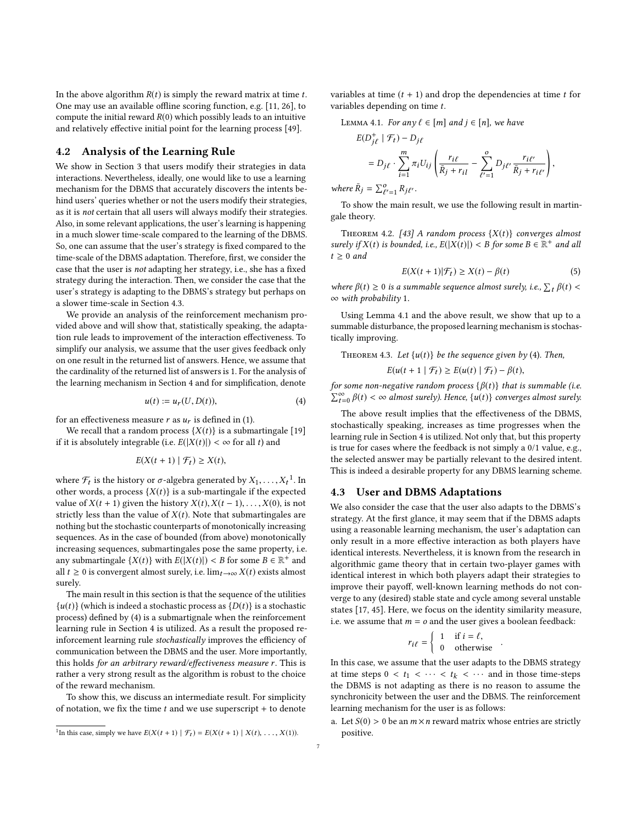In the above algorithm  $R(t)$  is simply the reward matrix at time t. One may use an available offline scoring function, e.g. [\[11,](#page-12-8) [26\]](#page-12-16), to compute the initial reward  $R(0)$  which possibly leads to an intuitive and relatively effective initial point for the learning process [\[49\]](#page-12-20).

### 4.2 Analysis of the Learning Rule

We show in Section [3](#page-3-0) that users modify their strategies in data interactions. Nevertheless, ideally, one would like to use a learning mechanism for the DBMS that accurately discovers the intents behind users' queries whether or not the users modify their strategies, as it is not certain that all users will always modify their strategies. Also, in some relevant applications, the user's learning is happening in a much slower time-scale compared to the learning of the DBMS. So, one can assume that the user's strategy is fixed compared to the time-scale of the DBMS adaptation. Therefore, first, we consider the case that the user is not adapting her strategy, i.e., she has a fixed strategy during the interaction. Then, we consider the case that the user's strategy is adapting to the DBMS's strategy but perhaps on a slower time-scale in Section [4.3.](#page-6-0)

We provide an analysis of the reinforcement mechanism provided above and will show that, statistically speaking, the adaptation rule leads to improvement of the interaction effectiveness. To simplify our analysis, we assume that the user gives feedback only on one result in the returned list of answers. Hence, we assume that the cardinality of the returned list of answers is 1. For the analysis of the learning mechanism in Section [4](#page-5-0) and for simplification, denote

$$
u(t) := u_r(U, D(t)),\tag{4}
$$

for an effectiveness measure r as  $u_r$  is defined in [\(1\)](#page-3-1).

We recall that a random process  $\{X(t)\}\$ is a submartingale [\[19\]](#page-12-28) if it is absolutely integrable (i.e.  $E(|X(t)|) < \infty$  for all t) and

$$
E(X(t+1) | \mathcal{F}_t) \ge X(t),
$$

where  $\mathcal{F}_t$  is the history or  $\sigma$ -algebra generated by  $X_1, \ldots, X_t^1$  $X_1, \ldots, X_t^1$  $X_1, \ldots, X_t^1$ . In other words, a process  $\{Y(t)\}$  is a sub-martingale if the expected other words, a process  $\{X(t)\}\$ is a sub-martingale if the expected value of  $X(t + 1)$  given the history  $X(t), X(t - 1), \ldots, X(0)$ , is not strictly less than the value of  $X(t)$ . Note that submartingales are nothing but the stochastic counterparts of monotonically increasing sequences. As in the case of bounded (from above) monotonically increasing sequences, submartingales pose the same property, i.e. any submartingale  $\{X(t)\}$  with  $E(|X(t)|) < B$  for some  $B \in \mathbb{R}^+$  and  $B|t > 0$  is convergent almost surely i.e.  $\lim_{x \to 0^+} X(t)$  exists almost all  $t \geq 0$  is convergent almost surely, i.e.  $\lim_{t\to\infty} X(t)$  exists almost surely.

The main result in this section is that the sequence of the utilities  ${u(t)}$  (which is indeed a stochastic process as  ${D(t)}$  is a stochastic process) defined by [\(4\)](#page-6-2) is a submartignale when the reinforcement learning rule in Section [4](#page-5-0) is utilized. As a result the proposed reinforcement learning rule stochastically improves the efficiency of communication between the DBMS and the user. More importantly, this holds for an arbitrary reward/effectiveness measure r. This is rather a very strong result as the algorithm is robust to the choice of the reward mechanism.

To show this, we discuss an intermediate result. For simplicity of notation, we fix the time  $t$  and we use superscript  $+$  to denote variables at time  $(t + 1)$  and drop the dependencies at time t for variables depending on time t.

<span id="page-6-3"></span>LEMMA 4.1. For any  $\ell \in [m]$  and  $j \in [n]$ , we have

$$
E(D_{j\ell}^+ \mid \mathcal{F}_t) - D_{j\ell}
$$
  
=  $D_{j\ell} \cdot \sum_{i=1}^m \pi_i U_{ij} \left( \frac{r_{i\ell}}{\bar{R}_j + r_{i\ell}} - \sum_{\ell'=1}^o D_{j\ell'} \frac{r_{i\ell'}}{\bar{R}_j + r_{i\ell'}} \right),$ 

where  $\bar{R}_j = \sum_{\ell'=1}^o R_{j\ell'}$ .

ℓ To show the main result, we use the following result in martingale theory.

<span id="page-6-5"></span>THEOREM 4.2. [\[43\]](#page-12-29) A random process  $\{X(t)\}\$ converges almost surely if  $X(t)$  is bounded, i.e.,  $E(|X(t)|) < B$  for some  $B \in \mathbb{R}^+$  and all  $t > 0$  and  $t \geq 0$  and

$$
E(X(t+1)|\mathcal{F}_t) \ge X(t) - \beta(t)
$$
\n(5)

where  $\beta(t) \ge 0$  is a summable sequence almost surely, i.e.,  $\sum_t \beta(t) < \infty$  with probability 1  $\infty$  with probability 1.

Using Lemma [4.1](#page-6-3) and the above result, we show that up to a summable disturbance, the proposed learning mechanism is stochastically improving.

<span id="page-6-4"></span>THEOREM 4.3. Let  $\{u(t)\}\,$  be the sequence given by [\(4\)](#page-6-2). Then,

$$
E(u(t+1 \mid \mathcal{F}_t) \ge E(u(t) \mid \mathcal{F}_t) - \beta(t),
$$

<span id="page-6-2"></span>for some non-negative random process  $\{\beta(t)\}\$  that is summable (i.e.  $\sum_{t=0}^{\infty} \beta(t) < \infty$  almost surely). Hence, {u(t)} converges almost surely.

The above result implies that the effectiveness of the DBMS, stochastically speaking, increases as time progresses when the learning rule in Section [4](#page-5-0) is utilized. Not only that, but this property is true for cases where the feedback is not simply a 0/1 value, e.g., the selected answer may be partially relevant to the desired intent. This is indeed a desirable property for any DBMS learning scheme.

### <span id="page-6-0"></span>4.3 User and DBMS Adaptations

We also consider the case that the user also adapts to the DBMS's strategy. At the first glance, it may seem that if the DBMS adapts using a reasonable learning mechanism, the user's adaptation can only result in a more effective interaction as both players have identical interests. Nevertheless, it is known from the research in algorithmic game theory that in certain two-player games with identical interest in which both players adapt their strategies to improve their payoff, well-known learning methods do not converge to any (desired) stable state and cycle among several unstable states [\[17,](#page-12-9) [45\]](#page-12-27). Here, we focus on the identity similarity measure, i.e. we assume that  $m = o$  and the user gives a boolean feedback:

$$
r_{i\ell} = \begin{cases} 1 & \text{if } i = \ell, \\ 0 & \text{otherwise} \end{cases}.
$$

In this case, we assume that the user adapts to the DBMS strategy at time steps  $0 < t_1 < \cdots < t_k < \cdots$  and in those time-steps the DBMS is not adapting as there is no reason to assume the synchronicity between the user and the DBMS. The reinforcement learning mechanism for the user is as follows:

a. Let  $S(0) > 0$  be an  $m \times n$  reward matrix whose entries are strictly positive.

<span id="page-6-1"></span><sup>&</sup>lt;sup>1</sup>In this case, simply we have  $E(X(t + 1) | \mathcal{F}_t) = E(X(t + 1) | X(t), \dots, X(1)).$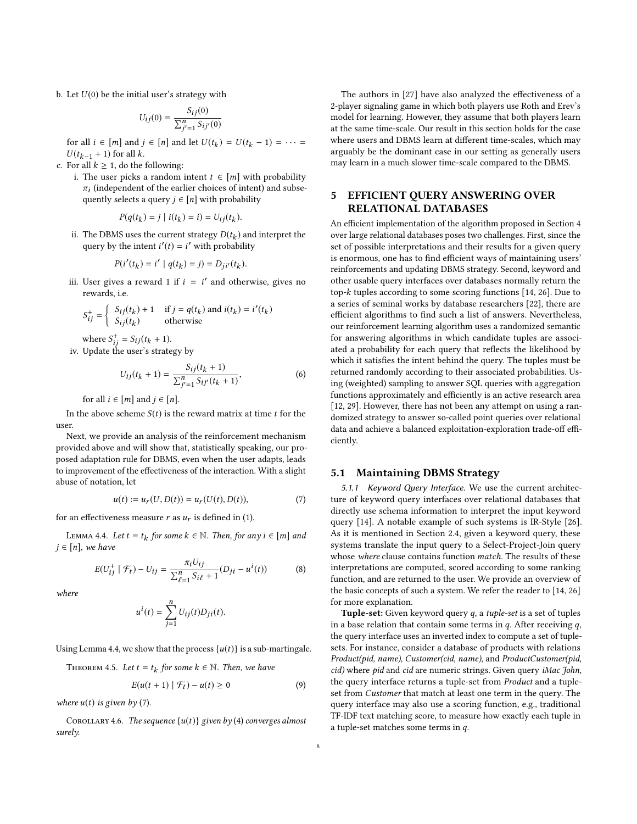b. Let  $U(0)$  be the initial user's strategy with

$$
U_{ij}(0) = \frac{S_{ij}(0)}{\sum_{j'=1}^{n} S_{ij'}(0)}
$$

for all  $i \in [m]$  and  $j \in [n]$  and let  $U(t_k) = U(t_k - 1) = \cdots = U(t_{k-1} + 1)$  for all k  $U(t_{k-1} + 1)$  for all k.

- c. For all  $k \geq 1$ , do the following:
	- i. The user picks a random intent  $t \in [m]$  with probability quently selects a query  $j \in [n]$  with probability  $\pi_i$  (independent of the earlier choices of intent) and subse-

$$
P(q(t_k) = j \mid i(t_k) = i) = U_{ij}(t_k).
$$

ii. The DBMS uses the current strategy  $D(t_k)$  and interpret the query by the intent  $i'(t) - i'$  with probability query by the intent  $i'(t) = i'$  with probability

$$
P(i'(t_k) = i' | q(t_k) = j) = D_{ji'}(t_k).
$$

iii. User gives a reward 1 if  $i = i'$  and otherwise, gives no<br>rewarde i.e. rewards, i.e.

$$
S_{ij}^{+} = \begin{cases} S_{ij}(t_k) + 1 & \text{if } j = q(t_k) \text{ and } i(t_k) = i'(t_k) \\ S_{ij}(t_k) & \text{otherwise} \end{cases}
$$

where  $S_{ij}^+ = S_{ij}(t_k + 1)$ .<br>Undate the user's strate

iv. Update the user's strategy by

$$
U_{ij}(t_k + 1) = \frac{S_{ij}(t_k + 1)}{\sum_{j'=1}^{n} S_{ij'}(t_k + 1)},
$$
\n(6)

for all  $i \in [m]$  and  $j \in [n]$ .

In the above scheme  $S(t)$  is the reward matrix at time t for the user.

Next, we provide an analysis of the reinforcement mechanism provided above and will show that, statistically speaking, our proposed adaptation rule for DBMS, even when the user adapts, leads to improvement of the effectiveness of the interaction. With a slight abuse of notation, let

$$
u(t) := u_r(U, D(t)) = u_r(U(t), D(t)),
$$
\n(7)

for an effectiveness measure r as  $u_r$  is defined in [\(1\)](#page-3-1).

LEMMA 4.4. Let  $t = t_k$  for some  $k \in \mathbb{N}$ . Then, for any  $i \in [m]$  and  $[n]$  $j \in [n]$ , we have

$$
E(U_{ij}^+ \mid \mathcal{F}_t) - U_{ij} = \frac{\pi_i U_{ij}}{\sum_{\ell=1}^n S_{i\ell} + 1} (D_{ji} - u^i(t))
$$
 (8)

where

$$
u^{i}(t) = \sum_{j=1}^{n} U_{ij}(t)D_{ji}(t).
$$

Using Lemma [4.4,](#page-7-1) we show that the process  $\{u(t)\}\$ is a sub-martingale.

<span id="page-7-5"></span>THEOREM 4.5. Let  $t = t_k$  for some  $k \in \mathbb{N}$ . Then, we have

$$
E(u(t+1) | \mathcal{F}_t) - u(t) \ge 0
$$
 (9)

where  $u(t)$  is given by [\(7\)](#page-7-2).

<span id="page-7-6"></span>COROLLARY 4.6. The sequence  $\{u(t)\}\$  given by [\(4\)](#page-6-2) converges almost surely.

The authors in [\[27\]](#page-12-30) have also analyzed the effectiveness of a 2-player signaling game in which both players use Roth and Erev's model for learning. However, they assume that both players learn at the same time-scale. Our result in this section holds for the case where users and DBMS learn at different time-scales, which may arguably be the dominant case in our setting as generally users may learn in a much slower time-scale compared to the DBMS.

# <span id="page-7-0"></span>5 EFFICIENT QUERY ANSWERING OVER RELATIONAL DATABASES

An efficient implementation of the algorithm proposed in Section [4](#page-5-0) over large relational databases poses two challenges. First, since the set of possible interpretations and their results for a given query is enormous, one has to find efficient ways of maintaining users' reinforcements and updating DBMS strategy. Second, keyword and other usable query interfaces over databases normally return the top-k tuples according to some scoring functions [\[14,](#page-12-0) [26\]](#page-12-16). Due to a series of seminal works by database researchers [\[22\]](#page-12-31), there are efficient algorithms to find such a list of answers. Nevertheless, our reinforcement learning algorithm uses a randomized semantic for answering algorithms in which candidate tuples are associated a probability for each query that reflects the likelihood by which it satisfies the intent behind the query. The tuples must be returned randomly according to their associated probabilities. Using (weighted) sampling to answer SQL queries with aggregation functions approximately and efficiently is an active research area [\[12,](#page-12-32) [29\]](#page-12-1). However, there has not been any attempt on using a randomized strategy to answer so-called point queries over relational data and achieve a balanced exploitation-exploration trade-off efficiently.

### <span id="page-7-4"></span>5.1 Maintaining DBMS Strategy

<span id="page-7-3"></span><span id="page-7-2"></span>5.1.1 Keyword Query Interface. We use the current architecture of keyword query interfaces over relational databases that directly use schema information to interpret the input keyword query [\[14\]](#page-12-0). A notable example of such systems is IR-Style [\[26\]](#page-12-16). As it is mentioned in Section [2.4,](#page-2-3) given a keyword query, these systems translate the input query to a Select-Project-Join query whose where clause contains function match. The results of these interpretations are computed, scored according to some ranking function, and are returned to the user. We provide an overview of the basic concepts of such a system. We refer the reader to [\[14,](#page-12-0) [26\]](#page-12-16) for more explanation.

<span id="page-7-1"></span>Tuple-set: Given keyword query  $q$ , a tuple-set is a set of tuples in a base relation that contain some terms in  $q$ . After receiving  $q$ , the query interface uses an inverted index to compute a set of tuplesets. For instance, consider a database of products with relations Product(pid, name), Customer(cid, name), and ProductCustomer(pid, cid) where pid and cid are numeric strings. Given query iMac John, the query interface returns a tuple-set from Product and a tupleset from Customer that match at least one term in the query. The query interface may also use a scoring function, e.g., traditional TF-IDF text matching score, to measure how exactly each tuple in a tuple-set matches some terms in q.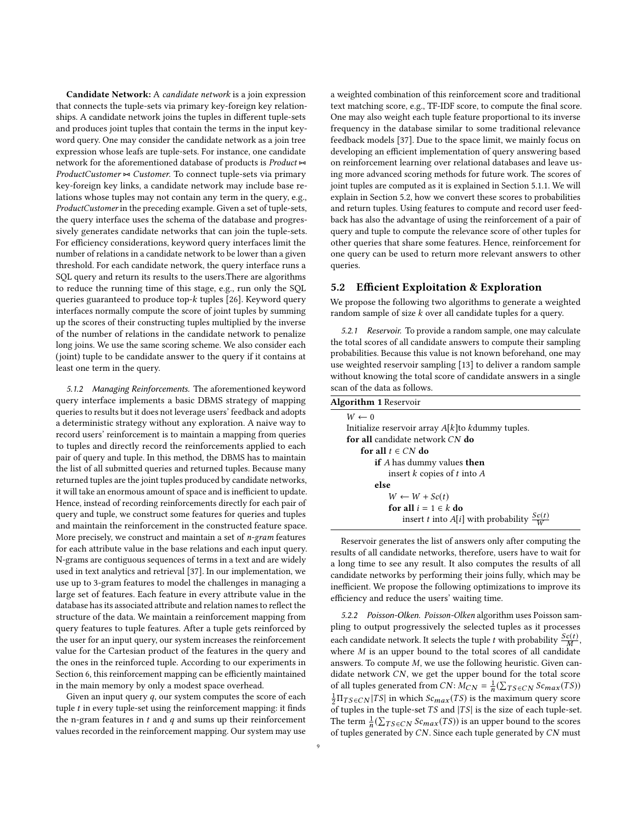Candidate Network: A candidate network is a join expression that connects the tuple-sets via primary key-foreign key relationships. A candidate network joins the tuples in different tuple-sets and produces joint tuples that contain the terms in the input keyword query. One may consider the candidate network as a join tree expression whose leafs are tuple-sets. For instance, one candidate network for the aforementioned database of products is  $Product \approx$  $ProductCustomer \approx Customer$ . To connect tuple-sets via primary key-foreign key links, a candidate network may include base relations whose tuples may not contain any term in the query, e.g., ProductCustomer in the preceding example. Given a set of tuple-sets, the query interface uses the schema of the database and progressively generates candidate networks that can join the tuple-sets. For efficiency considerations, keyword query interfaces limit the number of relations in a candidate network to be lower than a given threshold. For each candidate network, the query interface runs a SQL query and return its results to the users.There are algorithms to reduce the running time of this stage, e.g., run only the SQL queries guaranteed to produce top-k tuples [\[26\]](#page-12-16). Keyword query interfaces normally compute the score of joint tuples by summing up the scores of their constructing tuples multiplied by the inverse of the number of relations in the candidate network to penalize long joins. We use the same scoring scheme. We also consider each (joint) tuple to be candidate answer to the query if it contains at least one term in the query.

5.1.2 Managing Reinforcements. The aforementioned keyword query interface implements a basic DBMS strategy of mapping queries to results but it does not leverage users' feedback and adopts a deterministic strategy without any exploration. A naive way to record users' reinforcement is to maintain a mapping from queries to tuples and directly record the reinforcements applied to each pair of query and tuple. In this method, the DBMS has to maintain the list of all submitted queries and returned tuples. Because many returned tuples are the joint tuples produced by candidate networks, it will take an enormous amount of space and is inefficient to update. Hence, instead of recording reinforcements directly for each pair of query and tuple, we construct some features for queries and tuples and maintain the reinforcement in the constructed feature space. More precisely, we construct and maintain a set of n-gram features for each attribute value in the base relations and each input query. N-grams are contiguous sequences of terms in a text and are widely used in text analytics and retrieval [\[37\]](#page-12-21). In our implementation, we use up to 3-gram features to model the challenges in managing a large set of features. Each feature in every attribute value in the database has its associated attribute and relation names to reflect the structure of the data. We maintain a reinforcement mapping from query features to tuple features. After a tuple gets reinforced by the user for an input query, our system increases the reinforcement value for the Cartesian product of the features in the query and the ones in the reinforced tuple. According to our experiments in Section [6,](#page-9-0) this reinforcement mapping can be efficiently maintained in the main memory by only a modest space overhead.

Given an input query  $q$ , our system computes the score of each tuple  $t$  in every tuple-set using the reinforcement mapping: it finds the n-gram features in  $t$  and  $q$  and sums up their reinforcement values recorded in the reinforcement mapping. Our system may use a weighted combination of this reinforcement score and traditional text matching score, e.g., TF-IDF score, to compute the final score. One may also weight each tuple feature proportional to its inverse frequency in the database similar to some traditional relevance feedback models [\[37\]](#page-12-21). Due to the space limit, we mainly focus on developing an efficient implementation of query answering based on reinforcement learning over relational databases and leave using more advanced scoring methods for future work. The scores of joint tuples are computed as it is explained in Section [5.1.1.](#page-7-3) We will explain in Section [5.2,](#page-8-0) how we convert these scores to probabilities and return tuples. Using features to compute and record user feedback has also the advantage of using the reinforcement of a pair of query and tuple to compute the relevance score of other tuples for other queries that share some features. Hence, reinforcement for one query can be used to return more relevant answers to other queries.

#### <span id="page-8-0"></span>5.2 Efficient Exploitation & Exploration

We propose the following two algorithms to generate a weighted random sample of size k over all candidate tuples for a query.

5.2.1 Reservoir. To provide a random sample, one may calculate the total scores of all candidate answers to compute their sampling probabilities. Because this value is not known beforehand, one may use weighted reservoir sampling [\[13\]](#page-12-33) to deliver a random sample without knowing the total score of candidate answers in a single scan of the data as follows.

| Algorithm 1 Reservoir                                 |
|-------------------------------------------------------|
| $W \leftarrow 0$                                      |
| Initialize reservoir array $A[k]$ to kdummy tuples.   |
| <b>for all</b> candidate network CN do                |
| for all $t \in CN$ do                                 |
| <b>if</b> A has dummy values <b>then</b>              |
| insert $k$ copies of $t$ into $A$                     |
| else                                                  |
| $W \leftarrow W + Sc(t)$                              |
| for all $i = 1 \in k$ do                              |
| insert t into A[i] with probability $\frac{Sc(t)}{W}$ |

Reservoir generates the list of answers only after computing the results of all candidate networks, therefore, users have to wait for a long time to see any result. It also computes the results of all candidate networks by performing their joins fully, which may be inefficient. We propose the following optimizations to improve its efficiency and reduce the users' waiting time.

W

5.2.2 Poisson-Olken. Poisson-Olken algorithm uses Poisson sampling to output progressively the selected tuples as it processes each candidate network. It selects the tuple t with probability  $\frac{Sc(t)}{M}$ , where M is an upper bound to the total scores of all candidate where *M* is an upper bound to the total scores of all candidate<br>answers. To compute *M* we use the following heuristic Given can answers. To compute M, we use the following heuristic. Given candidate network CN, we get the upper bound for the total score of all tuples generated from CN:  $M_{CN} = \frac{1}{n} (\sum_{TS \in CN} Sc_{max}(TS))$ <br> $\frac{1}{n} \prod_{S \in NC} C_{ST}$  is which  $Sc_{ST}$  (TS) is the maximum guary secre- $\frac{1}{2} \Pi_{T \text{S} \in CN} |TS|$  in which  $Sc_{max}(TS)$  is the maximum query score<br>of typics in the typic-set TS and  $|TS|$  is the size of each typic-set of tuples in the tuple-set  $TS$  and  $|TS|$  is the size of each tuple-set. The term  $\frac{1}{n}(\sum_{T \leq \in CN} Sc_{max}(TS))$  is an upper bound to the scores<br>of typies generated by CN. Since each typie generated by CN must of tuples generated by CN. Since each tuple generated by CN must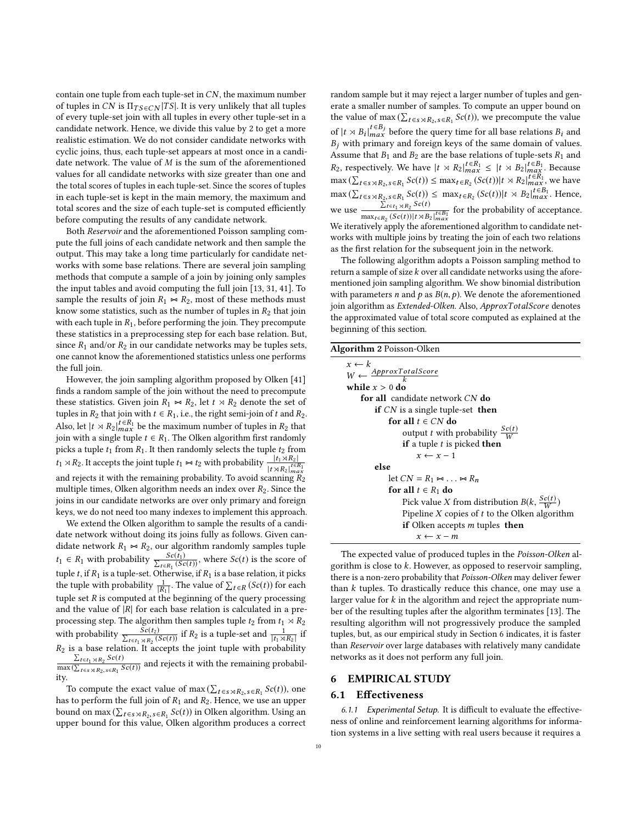contain one tuple from each tuple-set in CN, the maximum number of tuples in CN is  $\Pi_{TSCN}|TS|$ . It is very unlikely that all tuples of every tuple-set join with all tuples in every other tuple-set in a candidate network. Hence, we divide this value by 2 to get a more realistic estimation. We do not consider candidate networks with cyclic joins, thus, each tuple-set appears at most once in a candidate network. The value of M is the sum of the aforementioned values for all candidate networks with size greater than one and the total scores of tuples in each tuple-set. Since the scores of tuples in each tuple-set is kept in the main memory, the maximum and total scores and the size of each tuple-set is computed efficiently before computing the results of any candidate network.

Both Reservoir and the aforementioned Poisson sampling compute the full joins of each candidate network and then sample the output. This may take a long time particularly for candidate networks with some base relations. There are several join sampling methods that compute a sample of a join by joining only samples the input tables and avoid computing the full join [\[13,](#page-12-33) [31,](#page-12-34) [41\]](#page-12-35). To sample the results of join  $R_1 \Join R_2$ , most of these methods must know some statistics, such as the number of tuples in  $R_2$  that join with each tuple in  $R_1$ , before performing the join. They precompute these statistics in a preprocessing step for each base relation. But, since  $R_1$  and/or  $R_2$  in our candidate networks may be tuples sets, one cannot know the aforementioned statistics unless one performs the full join.

However, the join sampling algorithm proposed by Olken [\[41\]](#page-12-35) finds a random sample of the join without the need to precompute these statistics. Given join  $R_1 \Join R_2$ , let  $t \Join R_2$  denote the set of tuples in  $R_2$  that join with  $t \in R_1$ , i.e., the right semi-join of t and  $R_2$ . Also, let  $|t \times R_2|_{max}^{t \in R_1}$  be the maximum number of tuples in  $R_2$  that ion with a single tuple  $t \in R_1$ . The Olken algorithm first randomly join with a single tuple  $t \in R_1$ . The Olken algorithm first randomly picks a tuple  $t_1$  from  $R_1$ . It then randomly selects the tuple  $t_2$  from  $t_1 \rtimes R_2$ . It accepts the joint tuple  $t_1 \Join t_2$  with probability  $\frac{|t_1 \times R_2|}{|t \times R_2|_{max}^{t \in R_1}}$ and rejects it with the remaining probability. To avoid scanning  $\mathbb{R}_2$ multiple times, Olken algorithm needs an index over  $R_2$ . Since the joins in our candidate networks are over only primary and foreign keys, we do not need too many indexes to implement this approach.

We extend the Olken algorithm to sample the results of a candidate network without doing its joins fully as follows. Given candidate network  $R_1 \Join R_2$ , our algorithm randomly samples tuple  $t_1$  ∈  $R_1$  with probability  $\frac{Sc(t_1)}{\sum_{t \in R_1} (Sc(t))}$ , where  $Sc(t)$  is the score of type to the score of the score of the score of the score of the score of the score of the score of the score of the score of the score tuple t, if  $R_1$  is a tuple-set. Otherwise, if  $R_1$  is a base relation, it picks<br>the tuple with probability  $\frac{1}{\sqrt{2}}$ . The value of  $\sum_{n=0}^{\infty} (Sc(t))$  for each the tuple with probability  $\frac{1}{12}$  $\frac{1}{|R_1|}$ . The value of  $\sum_{t \in R} (Sc(t))$  for each the beginning of the query processing tuple set  $R$  is computed at the beginning of the query processing and the value of  $|R|$  for each base relation is calculated in a pre-<br>processing step. The algorithm then samples tuple  $t_2$  from  $t_1 \rtimes R_2$ processing step. The algorithm then samples tuple  $t_2$  from  $t_1 \propto R_2$ <br>with probability  $\frac{Sc(t_2)}{\sum_{t \in t_1 \sim R_2} (Sc(t))}$  if  $R_2$  is a tuple-set and  $\frac{1}{[t_1 \times R_2]}$  if  $R_2$  is a base relation. It accepts the joint tuple with probability  $\frac{\sum_{t \in t_1 \rtimes R_2} Sc(t)}{\max(\sum_{t \in s \rtimes R_2, s \in R_1} Sc(t))}$  and rejects it with the remaining probability.

To compute the exact value of  $\max(\sum_{t \in s} \times R_2, s \in R_1 Sc(t))$ , one<br>s to perform the full join of  $R_1$  and  $R_2$ . Hence, we use an upper has to perform the full join of  $R_1$  and  $R_2$ . Hence, we use an upper bound on max  $(\sum_{t \in s \land R_2, s \in R_1} Sc(t))$  in Olken algorithm. Using an upper bound for this value, Olken algorithm produces a correct

random sample but it may reject a larger number of tuples and generate a smaller number of samples. To compute an upper bound on the value of  $\max(\sum_{t \in S \setminus R_2, s \in R_1} Sc(t))$ , we precompute the value of  $|t \times B_i|_{max}^{t \in B_j}$  before the query time for all base relations  $B_i$  and  $B_i$  with primary and foreign keys of the same domain of values |  $B_j$  with primary and foreign keys of the same domain of values. Assume that  $B_1$  and  $B_2$  are the base relations of tuple-sets  $R_1$  and  $R_2$ , respectively. We have  $|t \times R_2|_{\text{max}}^{t \in R_1} \leq |t \times B_2|_{\text{max}}^{t \in B_1}$ . Because  $\max(\sum_{t \in S \rtimes R_2, s \in R_1} Sc(t)) \leq \max_{t \in R_2} (Sc(t)) |t \rtimes R_2|_{max}^{t \in R_1}$ , we have  $\max(\sum_{t \in S \rtimes R_2, s \in R_1} Sc(t)) \leq \max_{t \in R_2} (Sc(t)) |t \rtimes B_2|_{max}^{t \in R_1}$ . Hence, we use  $\frac{\sum_{t \in I_1 \rtimes R_2} Sc(t)}{\max_{t \in R_2} (Sc(t)) |t \rtimes B_2| \max_{t \in R_1} t \in B_1}$  for the probability of acceptance. We iteratively apply the aforementioned algorithm to candidate networks with multiple joins by treating the join of each two relations as the first relation for the subsequent join in the network.

The following algorithm adopts a Poisson sampling method to return a sample of size k over all candidate networks using the aforementioned join sampling algorithm. We show binomial distribution with parameters *n* and *p* as  $B(n, p)$ . We denote the aforementioned join algorithm as Extended-Olken. Also, ApproxTotalScore denotes the approximated value of total score computed as explained at the beginning of this section.

| Algorithm 2 Poisson-Olken |  |  |
|---------------------------|--|--|
|                           |  |  |

| $x \leftarrow k$<br>$W \leftarrow \frac{ApproxTotalScore}{N}$              |
|----------------------------------------------------------------------------|
| while $x > 0$ do                                                           |
| for all candidate network $CN$ do                                          |
| <b>if</b> $CN$ is a single tuple-set <b>then</b>                           |
| for all $t \in CN$ do                                                      |
| output t with probability $\frac{Sc(t)}{W}$                                |
| <b>if</b> a tuple $t$ is picked <b>then</b>                                |
| $x \leftarrow x-1$                                                         |
| else                                                                       |
| let $CN = R_1 \Join  \Join R_n$                                            |
| for all $t \in R_1$ do                                                     |
| Pick value <i>X</i> from distribution <i>B</i> ( $k$ , $\frac{Sc(t)}{W}$ ) |
| Pipeline $X$ copies of $t$ to the Olken algorithm                          |
| <b>if</b> Olken accepts $m$ tuples <b>then</b>                             |
| $x \leftarrow x - m$                                                       |
|                                                                            |

The expected value of produced tuples in the Poisson-Olken algorithm is close to  $k$ . However, as opposed to reservoir sampling, there is a non-zero probability that Poisson-Olken may deliver fewer than  $k$  tuples. To drastically reduce this chance, one may use a larger value for  $k$  in the algorithm and reject the appropriate number of the resulting tuples after the algorithm terminates [\[13\]](#page-12-33). The resulting algorithm will not progressively produce the sampled tuples, but, as our empirical study in Section [6](#page-9-0) indicates, it is faster than Reservoir over large databases with relatively many candidate networks as it does not perform any full join.

#### <span id="page-9-0"></span>6 EMPIRICAL STUDY

#### 6.1 Effectiveness

6.1.1 Experimental Setup. It is difficult to evaluate the effectiveness of online and reinforcement learning algorithms for information systems in a live setting with real users because it requires a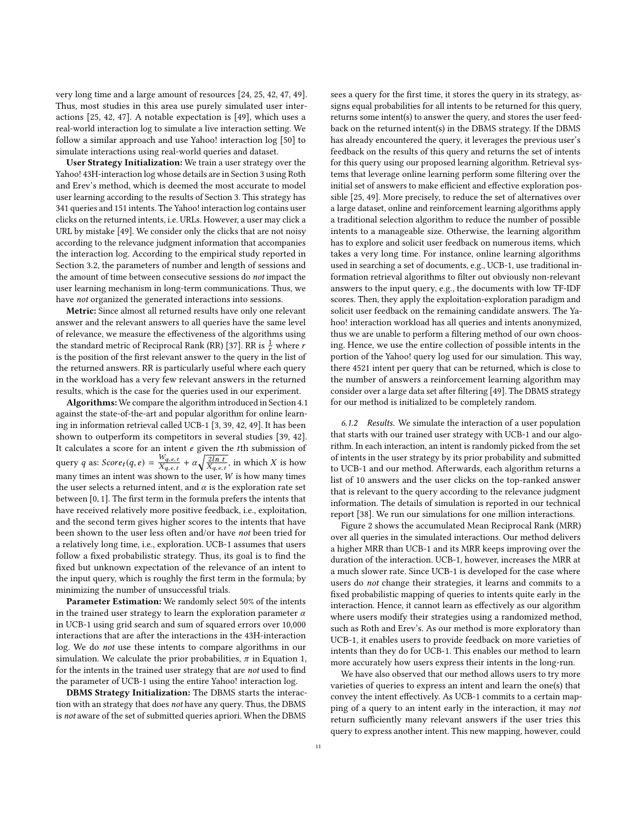very long time and a large amount of resources [\[24,](#page-12-10) [25,](#page-12-19) [42,](#page-12-36) [47,](#page-12-37) [49\]](#page-12-20). Thus, most studies in this area use purely simulated user interactions [\[25,](#page-12-19) [42,](#page-12-36) [47\]](#page-12-37). A notable expectation is [\[49\]](#page-12-20), which uses a real-world interaction log to simulate a live interaction setting. We follow a similar approach and use Yahoo! interaction log [\[50\]](#page-12-26) to simulate interactions using real-world queries and dataset.

User Strategy Initialization: We train a user strategy over the Yahoo! 43H-interaction log whose details are in Section [3](#page-3-0) using Roth and Erev's method, which is deemed the most accurate to model user learning according to the results of Section [3.](#page-3-0) This strategy has 341 queries and 151 intents. The Yahoo! interaction log contains user clicks on the returned intents, i.e. URLs. However, a user may click a URL by mistake [\[49\]](#page-12-20). We consider only the clicks that are not noisy according to the relevance judgment information that accompanies the interaction log. According to the empirical study reported in Section [3.2,](#page-4-2) the parameters of number and length of sessions and the amount of time between consecutive sessions do not impact the user learning mechanism in long-term communications. Thus, we have *not* organized the generated interactions into sessions.

Metric: Since almost all returned results have only one relevant answer and the relevant answers to all queries have the same level of relevance, we measure the effectiveness of the algorithms using the standard metric of Reciprocal Rank (RR) [\[37\]](#page-12-21). RR is  $\frac{1}{r}$  where r<br>is the position of the first relevant answer to the query in the list of is the position of the first relevant answer to the query in the list of the returned answers. RR is particularly useful where each query in the workload has a very few relevant answers in the returned results, which is the case for the queries used in our experiment.

Algorithms: We compare the algorithm introduced in Section [4.1](#page-5-2) against the state-of-the-art and popular algorithm for online learning in information retrieval called UCB-1 [\[3,](#page-12-18) [39,](#page-12-38) [42,](#page-12-36) [49\]](#page-12-20). It has been shown to outperform its competitors in several studies [\[39,](#page-12-38) [42\]](#page-12-36). It calculates a score for an intent  $e$  given the  $t$ th submission of query *q* as:  $Score_t(q, e) = \frac{W_{q, e, t}}{X_{q, e, t}}$  $\frac{W_{q,e,t}}{X_{q,e,t}} + \alpha \sqrt{\frac{2ln t}{X_{q,e,t}}}$ , in which X is how many times an intent was shown to the user,  $W$  is how many times the user selects a returned intent, and  $\alpha$  is the exploration rate set the user selects a returned intent, and  $\alpha$  is the exploration rate set between [0, <sup>1</sup>]. The first term in the formula prefers the intents that have received relatively more positive feedback, i.e., exploitation, and the second term gives higher scores to the intents that have been shown to the user less often and/or have not been tried for a relatively long time, i.e., exploration. UCB-1 assumes that users follow a fixed probabilistic strategy. Thus, its goal is to find the fixed but unknown expectation of the relevance of an intent to the input query, which is roughly the first term in the formula; by minimizing the number of unsuccessful trials.

Parameter Estimation: We randomly select 50% of the intents in the trained user strategy to learn the exploration parameter  $\alpha$ in UCB-1 using grid search and sum of squared errors over 10,000 interactions that are after the interactions in the 43H-interaction log. We do not use these intents to compare algorithms in our simulation. We calculate the prior probabilities,  $\pi$  in Equation [1,](#page-3-1) for the intents in the trained user strategy that are not used to find the parameter of UCB-1 using the entire Yahoo! interaction log.

DBMS Strategy Initialization: The DBMS starts the interaction with an strategy that does not have any query. Thus, the DBMS is not aware of the set of submitted queries apriori. When the DBMS

sees a query for the first time, it stores the query in its strategy, assigns equal probabilities for all intents to be returned for this query, returns some intent(s) to answer the query, and stores the user feedback on the returned intent(s) in the DBMS strategy. If the DBMS has already encountered the query, it leverages the previous user's feedback on the results of this query and returns the set of intents for this query using our proposed learning algorithm. Retrieval systems that leverage online learning perform some filtering over the initial set of answers to make efficient and effective exploration possible [\[25,](#page-12-19) [49\]](#page-12-20). More precisely, to reduce the set of alternatives over a large dataset, online and reinforcement learning algorithms apply a traditional selection algorithm to reduce the number of possible intents to a manageable size. Otherwise, the learning algorithm has to explore and solicit user feedback on numerous items, which takes a very long time. For instance, online learning algorithms used in searching a set of documents, e.g., UCB-1, use traditional information retrieval algorithms to filter out obviously non-relevant answers to the input query, e.g., the documents with low TF-IDF scores. Then, they apply the exploitation-exploration paradigm and solicit user feedback on the remaining candidate answers. The Yahoo! interaction workload has all queries and intents anonymized, thus we are unable to perform a filtering method of our own choosing. Hence, we use the entire collection of possible intents in the portion of the Yahoo! query log used for our simulation. This way, there 4521 intent per query that can be returned, which is close to the number of answers a reinforcement learning algorithm may consider over a large data set after filtering [\[49\]](#page-12-20). The DBMS strategy for our method is initialized to be completely random.

6.1.2 Results. We simulate the interaction of a user population that starts with our trained user strategy with UCB-1 and our algorithm. In each interaction, an intent is randomly picked from the set of intents in the user strategy by its prior probability and submitted to UCB-1 and our method. Afterwards, each algorithm returns a list of 10 answers and the user clicks on the top-ranked answer that is relevant to the query according to the relevance judgment information. The details of simulation is reported in our technical report [\[38\]](#page-12-39). We run our simulations for one million interactions.

Figure [2](#page-11-0) shows the accumulated Mean Reciprocal Rank (MRR) over all queries in the simulated interactions. Our method delivers a higher MRR than UCB-1 and its MRR keeps improving over the duration of the interaction. UCB-1, however, increases the MRR at a much slower rate. Since UCB-1 is developed for the case where users do not change their strategies, it learns and commits to a fixed probabilistic mapping of queries to intents quite early in the interaction. Hence, it cannot learn as effectively as our algorithm where users modify their strategies using a randomized method, such as Roth and Erev's. As our method is more exploratory than UCB-1, it enables users to provide feedback on more varieties of intents than they do for UCB-1. This enables our method to learn more accurately how users express their intents in the long-run.

We have also observed that our method allows users to try more varieties of queries to express an intent and learn the one(s) that convey the intent effectively. As UCB-1 commits to a certain mapping of a query to an intent early in the interaction, it may not return sufficiently many relevant answers if the user tries this query to express another intent. This new mapping, however, could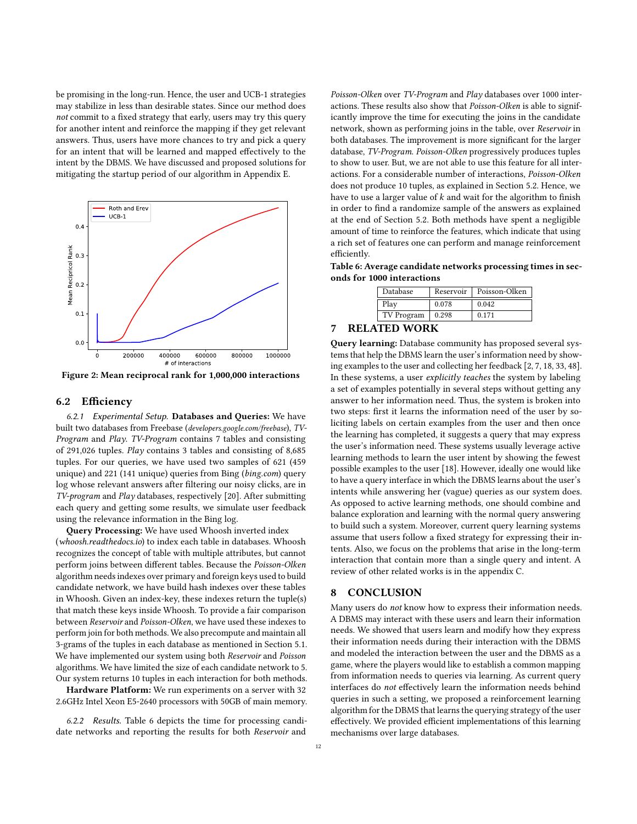be promising in the long-run. Hence, the user and UCB-1 strategies may stabilize in less than desirable states. Since our method does not commit to a fixed strategy that early, users may try this query for another intent and reinforce the mapping if they get relevant answers. Thus, users have more chances to try and pick a query for an intent that will be learned and mapped effectively to the intent by the DBMS. We have discussed and proposed solutions for mitigating the startup period of our algorithm in Appendix [E.](#page-15-1)

<span id="page-11-0"></span>

Figure 2: Mean reciprocal rank for 1,000,000 interactions

#### 6.2 Efficiency

6.2.1 Experimental Setup. Databases and Queries: We have built two databases from Freebase (developers.google.com/freebase), TV-Program and Play. TV-Program contains 7 tables and consisting of 291,026 tuples. Play contains 3 tables and consisting of 8,685 tuples. For our queries, we have used two samples of 621 (459 unique) and 221 (141 unique) queries from Bing (bing.com) query log whose relevant answers after filtering our noisy clicks, are in TV-program and Play databases, respectively [\[20\]](#page-12-40). After submitting each query and getting some results, we simulate user feedback using the relevance information in the Bing log.

Query Processing: We have used Whoosh inverted index (whoosh.readthedocs.io) to index each table in databases. Whoosh recognizes the concept of table with multiple attributes, but cannot perform joins between different tables. Because the Poisson-Olken algorithm needs indexes over primary and foreign keys used to build candidate network, we have build hash indexes over these tables in Whoosh. Given an index-key, these indexes return the tuple(s) that match these keys inside Whoosh. To provide a fair comparison between Reservoir and Poisson-Olken, we have used these indexes to perform join for both methods. We also precompute and maintain all 3-grams of the tuples in each database as mentioned in Section [5.1.](#page-7-4) We have implemented our system using both Reservoir and Poisson algorithms. We have limited the size of each candidate network to 5. Our system returns 10 tuples in each interaction for both methods.

Hardware Platform: We run experiments on a server with 32 2.6GHz Intel Xeon E5-2640 processors with 50GB of main memory.

6.2.2 Results. Table [6](#page-11-1) depicts the time for processing candidate networks and reporting the results for both Reservoir and

Poisson-Olken over TV-Program and Play databases over 1000 interactions. These results also show that Poisson-Olken is able to significantly improve the time for executing the joins in the candidate network, shown as performing joins in the table, over Reservoir in both databases. The improvement is more significant for the larger database, TV-Program. Poisson-Olken progressively produces tuples to show to user. But, we are not able to use this feature for all interactions. For a considerable number of interactions, Poisson-Olken does not produce 10 tuples, as explained in Section [5.2.](#page-8-0) Hence, we have to use a larger value of  $k$  and wait for the algorithm to finish in order to find a randomize sample of the answers as explained at the end of Section [5.2.](#page-8-0) Both methods have spent a negligible amount of time to reinforce the features, which indicate that using a rich set of features one can perform and manage reinforcement efficiently.

<span id="page-11-1"></span>Table 6: Average candidate networks processing times in seconds for 1000 interactions

| Database   | Reservoir | Poisson-Olken |
|------------|-----------|---------------|
| Play       | 0.078     | 0.042         |
| TV Program | 0.298     | 0.171         |

#### 7 RELATED WORK

Query learning: Database community has proposed several systems that help the DBMS learn the user's information need by showing examples to the user and collecting her feedback [\[2,](#page-12-41) [7,](#page-12-42) [18,](#page-12-43) [33,](#page-12-44) [48\]](#page-12-45). In these systems, a user explicitly teaches the system by labeling a set of examples potentially in several steps without getting any answer to her information need. Thus, the system is broken into two steps: first it learns the information need of the user by soliciting labels on certain examples from the user and then once the learning has completed, it suggests a query that may express the user's information need. These systems usually leverage active learning methods to learn the user intent by showing the fewest possible examples to the user [\[18\]](#page-12-43). However, ideally one would like to have a query interface in which the DBMS learns about the user's intents while answering her (vague) queries as our system does. As opposed to active learning methods, one should combine and balance exploration and learning with the normal query answering to build such a system. Moreover, current query learning systems assume that users follow a fixed strategy for expressing their intents. Also, we focus on the problems that arise in the long-term interaction that contain more than a single query and intent. A review of other related works is in the appendix [C.](#page-15-2)

#### 8 CONCLUSION

Many users do not know how to express their information needs. A DBMS may interact with these users and learn their information needs. We showed that users learn and modify how they express their information needs during their interaction with the DBMS and modeled the interaction between the user and the DBMS as a game, where the players would like to establish a common mapping from information needs to queries via learning. As current query interfaces do not effectively learn the information needs behind queries in such a setting, we proposed a reinforcement learning algorithm for the DBMS that learns the querying strategy of the user effectively. We provided efficient implementations of this learning mechanisms over large databases.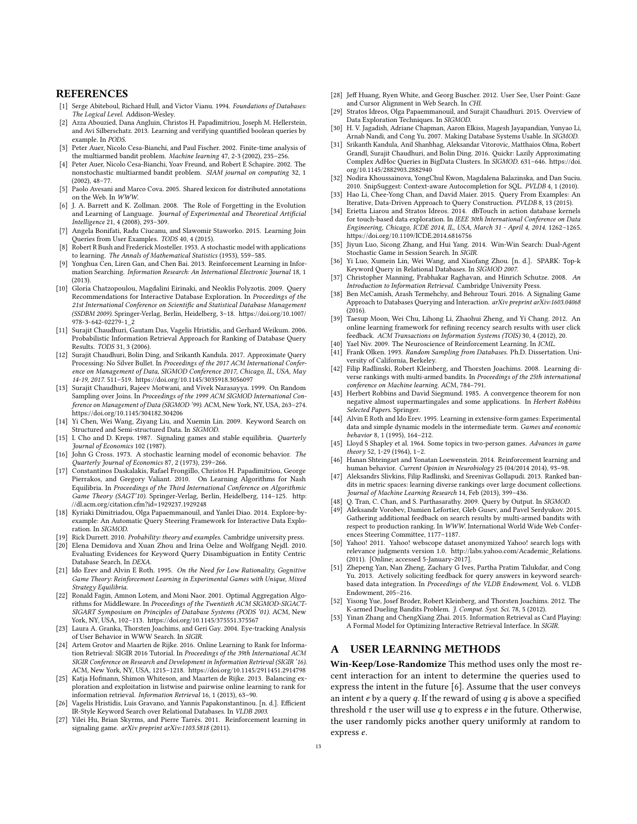### **REFERENCES**

- <span id="page-12-14"></span>[1] Serge Abiteboul, Richard Hull, and Victor Vianu. 1994. Foundations of Databases: The Logical Level. Addison-Wesley.
- <span id="page-12-41"></span>[2] Azza Abouzied, Dana Angluin, Christos H. Papadimitriou, Joseph M. Hellerstein, and Avi Silberschatz. 2013. Learning and verifying quantified boolean queries by example. In PODS.
- <span id="page-12-18"></span>[3] Peter Auer, Nicolo Cesa-Bianchi, and Paul Fischer. 2002. Finite-time analysis of the multiarmed bandit problem. Machine learning 47, 2-3 (2002), 235–256.
- <span id="page-12-13"></span>[4] Peter Auer, Nicolo Cesa-Bianchi, Yoav Freund, and Robert E Schapire. 2002. The nonstochastic multiarmed bandit problem. SIAM journal on computing 32, 1 (2002), 48–77.
- <span id="page-12-53"></span>[5] Paolo Avesani and Marco Cova. 2005. Shared lexicon for distributed annotations on the Web. In WWW.
- <span id="page-12-46"></span>[6] J. A. Barrett and K. Zollman. 2008. The Role of Forgetting in the Evolution and Learning of Language. Journal of Experimental and Theoretical Artificial Intelligence 21, 4 (2008), 293–309.
- <span id="page-12-42"></span>[7] Angela Bonifati, Radu Ciucanu, and Slawomir Staworko. 2015. Learning Join Queries from User Examples. TODS 40, 4 (2015).
- <span id="page-12-47"></span>[8] Robert R Bush and Frederick Mosteller. 1953. A stochastic model with applications to learning. The Annals of Mathematical Statistics (1953), 559–585.
- <span id="page-12-24"></span>[9] Yonghua Cen, Liren Gan, and Chen Bai. 2013. Reinforcement Learning in Information Searching. Information Research: An International Electronic Journal 18, 1 (2013).
- <span id="page-12-7"></span>[10] Gloria Chatzopoulou, Magdalini Eirinaki, and Neoklis Polyzotis. 2009. Query Recommendations for Interactive Database Exploration. In Proceedings of the 21st International Conference on Scientific and Statistical Database Management (SSDBM 2009). Springer-Verlag, Berlin, Heidelberg, 3–18. [https://doi.org/10.1007/](https://doi.org/10.1007/978-3-642-02279-1_2)  $978 - 3 - 642 - 02279 - 12$
- <span id="page-12-8"></span>[11] Surajit Chaudhuri, Gautam Das, Vagelis Hristidis, and Gerhard Weikum. 2006. Probabilistic Information Retrieval Approach for Ranking of Database Query Results. TODS 31, 3 (2006).
- <span id="page-12-32"></span>[12] Surajit Chaudhuri, Bolin Ding, and Srikanth Kandula. 2017. Approximate Query Processing: No Silver Bullet. In Proceedings of the 2017 ACM International Conference on Management of Data, SIGMOD Conference 2017, Chicago, IL, USA, May 14-19, 2017. 511–519.<https://doi.org/10.1145/3035918.3056097>
- <span id="page-12-33"></span>[13] Surajit Chaudhuri, Rajeev Motwani, and Vivek Narasayya. 1999. On Random Sampling over Joins. In Proceedings of the 1999 ACM SIGMOD International Conference on Management of Data (SIGMOD '99). ACM, New York, NY, USA, 263–274. <https://doi.org/10.1145/304182.304206>
- <span id="page-12-0"></span>[14] Yi Chen, Wei Wang, Ziyang Liu, and Xuemin Lin. 2009. Keyword Search on Structured and Semi-structured Data. In SIGMOD.
- <span id="page-12-11"></span>[15] I. Cho and D. Kreps. 1987. Signaling games and stable equilibria. Quarterly Journal of Economics 102 (1987).
- <span id="page-12-48"></span>[16] John G Cross. 1973. A stochastic learning model of economic behavior. The Quarterly Journal of Economics 87, 2 (1973), 239–266.
- <span id="page-12-9"></span>[17] Constantinos Daskalakis, Rafael Frongillo, Christos H. Papadimitriou, George Pierrakos, and Gregory Valiant. 2010. On Learning Algorithms for Nash Equilibria. In Proceedings of the Third International Conference on Algorithmic Game Theory (SAGT'10). Springer-Verlag, Berlin, Heidelberg, 114–125. [http:](http://dl.acm.org/citation.cfm?id=1929237.1929248) [//dl.acm.org/citation.cfm?id=1929237.1929248](http://dl.acm.org/citation.cfm?id=1929237.1929248)
- <span id="page-12-43"></span>[18] Kyriaki Dimitriadou, Olga Papaemmanouil, and Yanlei Diao. 2014. Explore-byexample: An Automatic Query Steering Framework for Interactive Data Exploration. In SIGMOD.
- <span id="page-12-28"></span>Rick Durrett. 2010. Probability: theory and examples. Cambridge university press.
- <span id="page-12-40"></span>[20] Elena Demidova and Xuan Zhou and Irina Oelze and Wolfgang Nejdl. 2010. Evaluating Evidences for Keyword Query Disambiguation in Entity Centric Database Search. In DEXA.
- <span id="page-12-49"></span>[21] Ido Erev and Alvin E Roth. 1995. On the Need for Low Rationality, Gognitive Game Theory: Reinforcement Learning in Experimental Games with Unique, Mixed Strategy Equilibria.
- <span id="page-12-31"></span>[22] Ronald Fagin, Amnon Lotem, and Moni Naor. 2001. Optimal Aggregation Algorithms for Middleware. In Proceedings of the Twentieth ACM SIGMOD-SIGACT-SIGART Symposium on Principles of Database Systems (PODS '01). ACM, New York, NY, USA, 102–113.<https://doi.org/10.1145/375551.375567>
- <span id="page-12-4"></span>[23] Laura A. Granka, Thorsten Joachims, and Geri Gay. 2004. Eye-tracking Analysis of User Behavior in WWW Search. In SIGIR.
- <span id="page-12-10"></span>[24] Artem Grotov and Maarten de Rijke. 2016. Online Learning to Rank for Information Retrieval: SIGIR 2016 Tutorial. In Proceedings of the 39th International ACM SIGIR Conference on Research and Development in Information Retrieval (SIGIR '16). ACM, New York, NY, USA, 1215–1218.<https://doi.org/10.1145/2911451.2914798>
- <span id="page-12-19"></span>[25] Katja Hofmann, Shimon Whiteson, and Maarten de Rijke. 2013. Balancing exploration and exploitation in listwise and pairwise online learning to rank for information retrieval. Information Retrieval 16, 1 (2013), 63–90.
- <span id="page-12-16"></span>[26] Vagelis Hristidis, Luis Gravano, and Yannis Papakonstantinou. [n. d.]. Efficient IR-Style Keyword Search over Relational Databases. In VLDB 2003.
- <span id="page-12-30"></span>[27] Yilei Hu, Brian Skyrms, and Pierre Tarrès. 2011. Reinforcement learning in signaling game. arXiv preprint arXiv:1103.5818 (2011).
- <span id="page-12-5"></span>[28] Jeff Huang, Ryen White, and Georg Buscher. 2012. User See, User Point: Gaze and Cursor Alignment in Web Search. In CHI.
- <span id="page-12-1"></span>[29] Stratos Idreos, Olga Papaemmanouil, and Surajit Chaudhuri. 2015. Overview of Data Exploration Techniques. In SIGMOD.
- <span id="page-12-2"></span>[30] H. V. Jagadish, Adriane Chapman, Aaron Elkiss, Magesh Jayapandian, Yunyao Li, Arnab Nandi, and Cong Yu. 2007. Making Database Systems Usable. In SIGMOD.
- <span id="page-12-34"></span>[31] Srikanth Kandula, Anil Shanbhag, Aleksandar Vitorovic, Matthaios Olma, Robert Grandl, Surajit Chaudhuri, and Bolin Ding. 2016. Quickr: Lazily Approximating Complex AdHoc Queries in BigData Clusters. In SIGMOD. 631–646. [https://doi.](https://doi.org/10.1145/2882903.2882940) [org/10.1145/2882903.2882940](https://doi.org/10.1145/2882903.2882940)
- <span id="page-12-15"></span>[32] Nodira Khoussainova, YongChul Kwon, Magdalena Balazinska, and Dan Suciu. 2010. SnipSuggest: Context-aware Autocompletion for SQL. PVLDB 4, 1 (2010).
- <span id="page-12-44"></span>[33] Hao Li, Chee-Yong Chan, and David Maier. 2015. Query From Examples: An Iterative, Data-Driven Approach to Query Construction. PVLDB 8, 13 (2015).
- <span id="page-12-6"></span>[34] Erietta Liarou and Stratos Idreos. 2014. dbTouch in action database kernels for touch-based data exploration. In IEEE 30th International Conference on Data Engineering, Chicago, ICDE 2014, IL, USA, March 31 - April 4, 2014. 1262–1265. <https://doi.org/10.1109/ICDE.2014.6816756>
- <span id="page-12-52"></span>[35] Jiyun Luo, Sicong Zhang, and Hui Yang. 2014. Win-Win Search: Dual-Agent Stochastic Game in Session Search. In SIGIR.
- <span id="page-12-17"></span>[36] Yi Luo, Xumein Lin, Wei Wang, and Xiaofang Zhou. [n. d.]. SPARK: Top-k Keyword Query in Relational Databases. In SIGMOD 2007.
- <span id="page-12-21"></span>[37] Christopher Manning, Prabhakar Raghavan, and Hinrich Schutze. 2008. An Introduction to Information Retrieval. Cambridge University Press.
- <span id="page-12-39"></span>[38] Ben McCamish, Arash Termehchy, and Behrouz Touri. 2016. A Signaling Game Approach to Databases Querying and Interaction. arXiv preprint arXiv:1603.04068 (2016).
- <span id="page-12-38"></span>[39] Taesup Moon, Wei Chu, Lihong Li, Zhaohui Zheng, and Yi Chang. 2012. An online learning framework for refining recency search results with user click feedback. ACM Transactions on Information Systems (TOIS) 30, 4 (2012), 20.
- <span id="page-12-22"></span>[40] Yael Niv. 2009. The Neuroscience of Reinforcement Learning. In ICML.
- <span id="page-12-35"></span>[41] Frank Olken. 1993. Random Sampling from Databases. Ph.D. Dissertation. University of California, Berkeley.
- <span id="page-12-36"></span>[42] Filip Radlinski, Robert Kleinberg, and Thorsten Joachims. 2008. Learning diverse rankings with multi-armed bandits. In Proceedings of the 25th international conference on Machine learning. ACM, 784–791.
- <span id="page-12-29"></span>[43] Herbert Robbins and David Siegmund. 1985. A convergence theorem for non negative almost supermartingales and some applications. In Herbert Robbins Selected Papers. Springer.
- <span id="page-12-12"></span>[44] Alvin E Roth and Ido Erev. 1995. Learning in extensive-form games: Experimental data and simple dynamic models in the intermediate term. Games and economic behavior 8, 1 (1995), 164–212.
- <span id="page-12-27"></span>[45] Lloyd S Shapley et al. 1964. Some topics in two-person games. Advances in game theory 52, 1-29 (1964), 1–2.
- <span id="page-12-23"></span>[46] Hanan Shteingart and Yonatan Loewenstein. 2014. Reinforcement learning and human behavior. Current Opinion in Neurobiology 25 (04/2014 2014), 93–98.
- <span id="page-12-37"></span>[47] Aleksandrs Slivkins, Filip Radlinski, and Sreenivas Gollapudi. 2013. Ranked bandits in metric spaces: learning diverse rankings over large document collections. Journal of Machine Learning Research 14, Feb (2013), 399–436.
- <span id="page-12-45"></span>Q. Tran, C. Chan, and S. Parthasarathy. 2009. Query by Output. In SIGMOD.
- <span id="page-12-20"></span>[49] Aleksandr Vorobev, Damien Lefortier, Gleb Gusev, and Pavel Serdyukov. 2015. Gathering additional feedback on search results by multi-armed bandits with respect to production ranking. In WWW. International World Wide Web Conferences Steering Committee, 1177–1187.
- <span id="page-12-26"></span>[50] Yahoo! 2011. Yahoo! webscope dataset anonymized Yahoo! search logs with relevance judgments version 1.0. [http://labs.yahoo.com/Academic\\_Relations.](http://labs.yahoo.com/Academic_Relations) (2011). [Online; accessed 5-January-2017].
- <span id="page-12-50"></span>[51] Zhepeng Yan, Nan Zheng, Zachary G Ives, Partha Pratim Talukdar, and Cong Yu. 2013. Actively soliciting feedback for query answers in keyword searchbased data integration. In Proceedings of the VLDB Endowment, Vol. 6. VLDB Endowment, 205–216.
- <span id="page-12-3"></span>[52] Yisong Yue, Josef Broder, Robert Kleinberg, and Thorsten Joachims. 2012. The K-armed Dueling Bandits Problem. J. Comput. Syst. Sci. 78, 5 (2012).
- <span id="page-12-51"></span>[53] Yinan Zhang and ChengXiang Zhai. 2015. Information Retrieval as Card Playing: A Formal Model for Optimizing Interactive Retrieval Interface. In SIGIR.

### <span id="page-12-25"></span>A USER LEARNING METHODS

Win-Keep/Lose-Randomize This method uses only the most recent interaction for an intent to determine the queries used to express the intent in the future [\[6\]](#page-12-46). Assume that the user conveys an intent  $e$  by a query  $q$ . If the reward of using  $q$  is above a specified threshold  $\tau$  the user will use  $q$  to express  $e$  in the future. Otherwise, the user randomly picks another query uniformly at random to express e.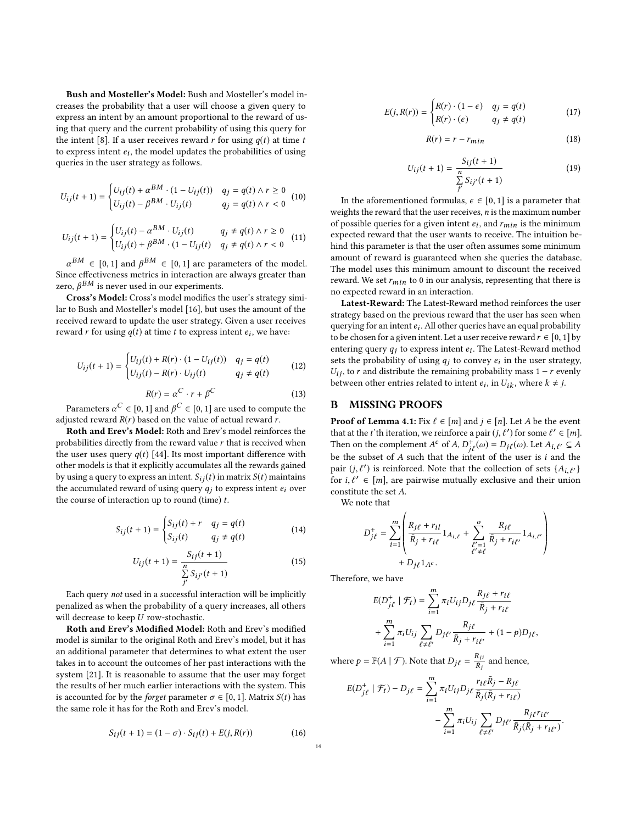Bush and Mosteller's Model: Bush and Mosteller's model increases the probability that a user will choose a given query to express an intent by an amount proportional to the reward of using that query and the current probability of using this query for the intent [\[8\]](#page-12-47). If a user receives reward r for using  $q(t)$  at time t to express intent  $e_i$ , the model updates the probabilities of using queries in the user strategy as follows. queries in the user strategy as follows.

$$
U_{ij}(t+1) = \begin{cases} U_{ij}(t) + \alpha^{BM} \cdot (1 - U_{ij}(t)) & q_j = q(t) \land r \ge 0 \\ U_{ij}(t) - \beta^{BM} \cdot U_{ij}(t) & q_j = q(t) \land r < 0 \end{cases}
$$
(10)

$$
U_{ij}(t+1) = \begin{cases} U_{ij}(t) - \alpha^{BM} \cdot U_{ij}(t) & q_j \neq q(t) \land r \geq 0 \\ U_{ij}(t) + \beta^{BM} \cdot (1 - U_{ij}(t) & q_j \neq q(t) \land r < 0 \end{cases}
$$
(11)

 $\frac{a}{b}$  Since effectiveness metrics in interaction are always greater than  $B_M \in [0, 1]$  and  $\beta^{BM} \in [0, 1]$  are parameters of the model. zero,  $\beta^{BM}$  is never used in our experiments.<br>Cross's Model: Cross's model modifies the

Cross's Model: Cross's model modifies the user's strategy similar to Bush and Mosteller's model [\[16\]](#page-12-48), but uses the amount of the received reward to update the user strategy. Given a user receives reward r for using  $q(t)$  at time t to express intent  $e_i$ , we have:

$$
U_{ij}(t+1) = \begin{cases} U_{ij}(t) + R(r) \cdot (1 - U_{ij}(t)) & q_j = q(t) \\ U_{ij}(t) - R(r) \cdot U_{ij}(t) & q_j \neq q(t) \end{cases}
$$
(12)

$$
R(r) = \alpha^C \cdot r + \beta^C \tag{13}
$$

Parameters  $\alpha^C \in [0, 1]$  and  $\beta^C \in [0, 1]$  are used to compute the used reward  $P(x)$  based on the value of actual reward r adjusted reward  $R(r)$  based on the value of actual reward r.

Roth and Erev's Model: Roth and Erev's model reinforces the probabilities directly from the reward value  $r$  that is received when the user uses query  $q(t)$  [\[44\]](#page-12-12). Its most important difference with other models is that it explicitly accumulates all the rewards gained by using a query to express an intent.  $S_{ij}(t)$  in matrix  $S(t)$  maintains the accumulated reward of using query  $q_i$  to express intent  $e_i$  over the course of interaction up to round (time)  $t$ .

$$
S_{ij}(t+1) = \begin{cases} S_{ij}(t) + r & q_j = q(t) \\ S_{ij}(t) & q_j \neq q(t) \end{cases}
$$
(14)

$$
U_{ij}(t+1) = \frac{S_{ij}(t+1)}{\sum_{j'}^{n} S_{ij'}(t+1)}
$$
(15)

Each query *not* used in a successful interaction will be implicitly penalized as when the probability of a query increases, all others will decrease to keep U row-stochastic.

Roth and Erev's Modified Model: Roth and Erev's modified model is similar to the original Roth and Erev's model, but it has an additional parameter that determines to what extent the user takes in to account the outcomes of her past interactions with the system [\[21\]](#page-12-49). It is reasonable to assume that the user may forget the results of her much earlier interactions with the system. This is accounted for by the *forget* parameter  $\sigma \in [0, 1]$ . Matrix  $S(t)$  has the same role it has for the Roth and Erev's model.

$$
S_{ij}(t+1) = (1 - \sigma) \cdot S_{ij}(t) + E(j, R(r))
$$
 (16)

$$
E(j, R(r)) = \begin{cases} R(r) \cdot (1 - \epsilon) & q_j = q(t) \\ R(r) \cdot (\epsilon) & q_j \neq q(t) \end{cases}
$$
(17)

$$
R(r) = r - r_{min} \tag{18}
$$

$$
U_{ij}(t+1) = \frac{S_{ij}(t+1)}{\sum_{j'} S_{ij'}(t+1)}
$$
(19)

In the aforementioned formulas,  $\epsilon \in [0, 1]$  is a parameter that inhte the required that the user receives *n* is the maximum number weights the reward that the user receives,  $n$  is the maximum number of possible queries for a given intent  $e_i$ , and  $r_{min}$  is the minimum<br>expected reward that the user wants to receive. The intuition beexpected reward that the user wants to receive. The intuition behind this parameter is that the user often assumes some minimum amount of reward is guaranteed when she queries the database. The model uses this minimum amount to discount the received reward. We set  $r_{min}$  to 0 in our analysis, representing that there is no expected reward in an interaction.

Latest-Reward: The Latest-Reward method reinforces the user strategy based on the previous reward that the user has seen when querying for an intent  $e_i$ . All other queries have an equal probability<br>to be chosen for a given intent. Let a user receive reward  $r \in [0, 1]$  by to be chosen for a given intent. Let a user receive reward  $r \in [0, 1]$  by entering query  $q_j$  to express intent  $e_i$ . The Latest-Reward method<br>sets the probability of using a to convey  $e_i$  in the user strategy sets the probability of using  $q_j$  to convey  $e_i$  in the user strategy,  $U_{1}$  to r and distribute the remaining probability mass  $1 - r$  evenly  $U_{ij}$ , to r and distribute the remaining probability mass 1 – r evenly between other entries related to intent  $e_i$ , in  $U_{ik}$ , where  $k \neq j$ .

# B MISSING PROOFS

**Proof of Lemma [4.1:](#page-6-3)** Fix  $\ell \in [m]$  and  $j \in [n]$ . Let A be the event that at the *t*'th iteration, we reinforce a pair  $(j, \ell')$  for some  $\ell' \in [m]$ .<br>Then on the complement  $4^c$  of  $4 \cdot 2^+$  ( $\alpha$ ) =  $D_{\ell}(\alpha)$ ) Let  $A_{\ell}$   $\alpha \in A$ . Then on the complement  $A^c$  of  $A$ ,  $D_f^+(\omega) = D_f(\omega)$ . Let  $A_{i,\ell'} \subseteq A$ be the subset of A such that the intent of the user is i and the point  $(i \ell')$  is reinforced. Note that the collection of sets  $\{A_{i,n}\}$ pair  $(j, \ell')$  is reinforced. Note that the collection of sets  $\{A_{i}, \ell'\}$  for  $i, \ell' \in [m]$  are pairwise mutually exclusive and their union for  $i, \ell' \in [m]$ , are pairwise mutually exclusive and their union constitute the set A.

We note that

$$
D_{j\ell}^{+} = \sum_{i=1}^{m} \left( \frac{R_{j\ell} + r_{il}}{\bar{R}_{j} + r_{i\ell}} 1_{A_{i,\ell}} + \sum_{\substack{\ell'=1 \\ \ell' \neq \ell}}^{o} \frac{R_{j\ell}}{\bar{R}_{j} + r_{i\ell'}} 1_{A_{i,\ell'}} \right) + D_{j\ell} 1_{A^c}.
$$

Therefore, we have

$$
E(D_{j\ell}^+ \mid \mathcal{F}_t) = \sum_{i=1}^m \pi_i U_{ij} D_{j\ell} \frac{R_{j\ell} + r_{i\ell}}{\bar{R}_j + r_{i\ell}}
$$
  
+ 
$$
\sum_{i=1}^m \pi_i U_{ij} \sum_{\ell \neq \ell'} D_{j\ell'} \frac{R_{j\ell}}{\bar{R}_j + r_{i\ell'}} + (1 - p) D_{j\ell}
$$

,

where  $p = \mathbb{P}(A | \mathcal{F})$ . Note that  $D_{j\ell} = \frac{K_{ji}}{\bar{R}_j}$  and hence,

$$
E(D_{j\ell}^+ \mid \mathcal{F}_t) - D_j \ell = \sum_{i=1}^m \pi_i U_{ij} D_j \ell \frac{r_{i\ell} \bar{R}_j - R_{j\ell}}{\bar{R}_j(\bar{R}_j + r_{i\ell})}
$$

$$
- \sum_{i=1}^m \pi_i U_{ij} \sum_{\ell \neq \ell'} D_j \ell' \frac{R_j \ell r_{i\ell'}}{\bar{R}_j(\bar{R}_j + r_{i\ell'})}
$$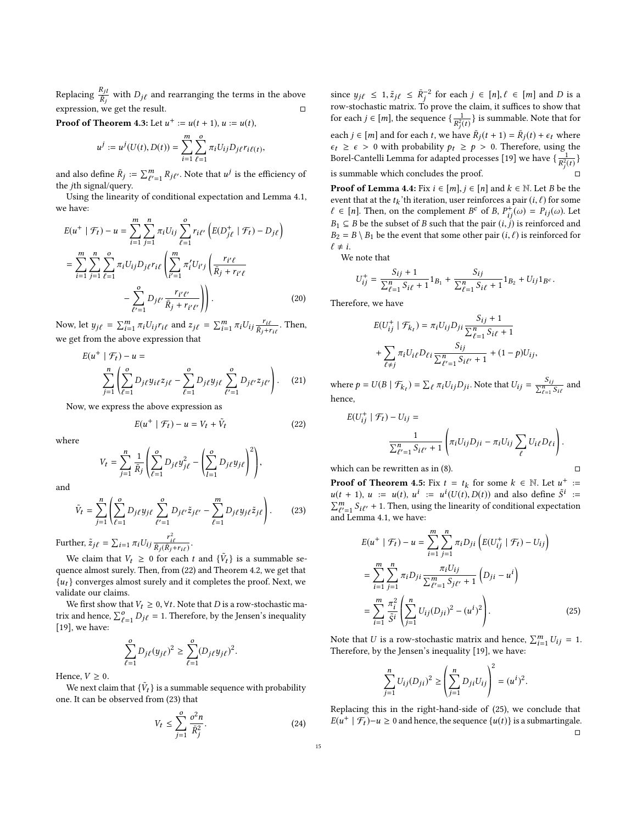Replacing  $\frac{R_{jI}}{R_{j}}$  with  $D_{j\ell}$  and rearranging the terms in the above expression, we get the result.  $□$ 

**Proof of Theorem [4.3:](#page-6-4)** Let  $u^+ := u(t+1)$ ,  $u := u(t)$ ,

$$
u^{j} := u^{j}(U(t), D(t)) = \sum_{i=1}^{m} \sum_{\ell=1}^{0} \pi_{i} U_{ij} D_{j} \ell^{r} u(t),
$$

and also define  $\overline{R}_j := \sum_{\ell'=1}^m R_{j\ell'}$ . Note that  $u^j$  is the efficiency of the *j*th signal/query.<br>Using the linearity

Using the linearity of conditional expectation and Lemma [4.1,](#page-6-3) we have:

$$
E(u^{+} | \mathcal{F}_{t}) - u = \sum_{i=1}^{m} \sum_{j=1}^{n} \pi_{i} U_{ij} \sum_{\ell=1}^{o} r_{i\ell'} \left( E(D_{j\ell}^{+} | \mathcal{F}_{t}) - D_{j\ell} \right)
$$
  

$$
= \sum_{i=1}^{m} \sum_{j=1}^{n} \sum_{\ell=1}^{o} \pi_{i} U_{ij} D_{j\ell} r_{i\ell} \left( \sum_{i'=1}^{m} \pi_{i'}^{t} U_{i'j} \left( \frac{r_{i'\ell}}{\bar{R}_{j} + r_{i'\ell}} - \sum_{\ell'=1}^{o} D_{j\ell'} \frac{r_{i'\ell'}}{\bar{R}_{j} + r_{i'\ell'}} \right) \right). \tag{20}
$$

Now, let  $y_{j\ell} = \sum_{i=1}^{m} \pi_i U_{ij} r_{i\ell}$  and  $z_{j\ell} = \sum_{i=1}^{m} \pi_i U_{ij} \frac{r_{i\ell}}{\bar{R}_{j} + r_{i\ell}}$ . Then, we get from the above expression that

$$
E(u^+ \mid \mathcal{F}_t) - u = \sum_{j=1}^n \left( \sum_{\ell=1}^o D_{j\ell} y_{i\ell} z_{j\ell} - \sum_{\ell=1}^o D_{j\ell} y_{j\ell} \sum_{\ell'=1}^o D_{j\ell'} z_{j\ell'} \right).
$$
 (21)

Now, we express the above expression as

<span id="page-14-0"></span>
$$
E(u^+ | \mathcal{F}_t) - u = V_t + \tilde{V}_t
$$
 (22)

where

$$
V_t = \sum_{j=1}^n \frac{1}{\bar{R}_j} \left( \sum_{\ell=1}^o D_{j\ell} y_{j\ell}^2 - \left( \sum_{l=1}^o D_{j\ell} y_{j\ell} \right)^2 \right),
$$

and

$$
\tilde{V}_t = \sum_{j=1}^n \left( \sum_{\ell=1}^o D_{j\ell} y_{j\ell} \sum_{\ell'=1}^o D_{j\ell'} \tilde{z}_{j\ell'} - \sum_{\ell=1}^m D_{j\ell} y_{j\ell} \tilde{z}_{j\ell} \right). \tag{23}
$$

Further,  $\tilde{z}_{j\ell} = \sum_{i=1} \pi_i U_{ij} \frac{r}{\bar{R}_j(\bar{R})}$  $\frac{r_{i\ell}^2}{\bar{R}_j(\bar{R}_j+r_{i\ell})}$ .

We claim that  $V_t \ge 0$  for each t and  $\{\tilde{V}_t\}$  is a summable se-<br>page almost suraly. Then from (22) and Theorem 4.2, we get that quence almost surely. Then, from [\(22\)](#page-14-0) and Theorem [4.2,](#page-6-5) we get that  ${u_t}$  converges almost surely and it completes the proof. Next, we validate our claims.

We first show that  $V_t \geq 0$ ,  $\forall t$ . Note that D is a row-stochastic matrix and hence,  $\sum_{\ell=1}^{9} D_j \ell = 1$ . Therefore, by the Jensen's inequality [19], we have: [\[19\]](#page-12-28), we have:

$$
\sum_{\ell=1}^{0} D_{j\ell}(y_{j\ell})^2 \ge \sum_{\ell=1}^{0} (D_{j\ell}y_{j\ell})^2.
$$

Hence,  $V \geq 0$ .

We next claim that  $\{\tilde{V}_t\}$  is a summable sequence with probability<br>a It can be observed from (23) that one. It can be observed from [\(23\)](#page-14-1) that

$$
V_t \le \sum_{j=1}^o \frac{o^2 n}{\bar{R}_j^2}.\tag{24}
$$

since  $y_{j\ell} \le 1, \tilde{z}_{j\ell} \le \bar{R}_j^{-2}$  for each  $j \in [n], \ell \in [m]$  and D is a row-stochastic matrix. To prove the claim, it suffices to show that for each  $j \in [m]$ , the sequence  $\{\frac{1}{R_j^2(t)}\}$  is summable. Note that for

each  $j \in [m]$  and for each t, we have  $\overline{R}_j(t + 1) = \overline{R}_j(t) + \epsilon_t$  where  $\epsilon_t \geq \epsilon > 0$  with probability  $p_t \geq p > 0$ . Therefore, using the Borel-Cantelli Lemma for adapted processes [\[19\]](#page-12-28) we have  $\{\frac{1}{R_j^2(t)}\}$ is summable which concludes the proof.  $□$ 

**Proof of Lemma [4.4:](#page-7-1)** Fix  $i \in [m], j \in [n]$  and  $k \in \mathbb{N}$ . Let B be the event that at the  $t_k$ 'th iteration, user reinforces a pair  $(i, \ell)$  for some  $\ell \in [n]$ . Then, on the complement  $R^c$  of  $R P^+(\omega) = P^+(\omega)$ . Let  $\ell \in [n]$ . Then, on the complement  $B^c$  of B,  $P_{ij}^+(\omega) = P_{ij}(\omega)$ . Let  $B_i \subset B$  be the subset of B such that the pair  $(i, j)$  is reinforced and  $B_1 \subseteq B$  be the subset of B such that the pair  $(i, j)$  is reinforced and  $B_2 = B \setminus B_1$  be the event that some other pair  $(i, \ell)$  is reinforced for  $l \neq i$ .

We note that

$$
U^+_{ij} = \frac{S_{ij}+1}{\sum_{\ell=1}^n S_{i\ell}+1} {\bf 1}_{B_1} + \frac{S_{ij}}{\sum_{\ell=1}^n S_{i\ell}+1} {\bf 1}_{B_2} + U_{ij} {\bf 1}_{B^c}.
$$

Therefore, we have

$$
\begin{split} &E(U_{ij}^+\mid \mathcal{F}_{k_t}) = \pi_i U_{ij}D_{ji}\frac{S_{ij}+1}{\sum_{\ell=1}^n S_{i\ell}+1} \\ & +\sum_{\ell\neq j} \pi_i U_{i\ell}D_{\ell i}\frac{S_{ij}}{\sum_{\ell'=1}^n S_{i\ell'}+1}+(1-p)U_{ij}, \end{split}
$$

where  $p = U(B | \mathcal{F}_{k_t}) = \sum_{\ell} \pi_i U_{ij} D_{ji}$ . Note that  $U_{ij} = \frac{S_{ij}}{\sum_{\ell=1}^n S_{i\ell}}$ and hence,

$$
E(U_{ij}^+ \mid \mathcal{F}_t) - U_{ij} =
$$
  

$$
\frac{1}{\sum_{\ell'=1}^n S_{i\ell'} + 1} \left( \pi_i U_{ij} D_{ji} - \pi_i U_{ij} \sum_{\ell} U_{i\ell} D_{\ell i} \right).
$$

which can be rewritten as in  $(8)$ .  $\Box$ 

<span id="page-14-1"></span>**Proof of Theorem [4.5:](#page-7-5)** Fix  $t = t_k$  for some  $k \in \mathbb{N}$ . Let  $u^+ := u(t+1)$ ,  $u^+ := u(t)$ ,  $u^i^- := u^i(U(t), D(t))$  and also define  $\tilde{S}^i$ .  $u(t + 1)$ ,  $u := u(t)$ ,  $u^i := u^i(U(t), D(t))$  and also define  $\tilde{S}^i := \sum_{k=1}^m S_{k,n+1}$ . Then using the linearity of conditional expectation  $\sum_{\ell'=1}^m S_{i\ell'}$  + 1. Then, using the linearity of conditional expectation  $\mathbb{Z}_{t'=1}$   $\mathbb{Z}_t$  and Lemma [4.1,](#page-6-3) we have:

$$
E(u^+ | \mathcal{F}_t) - u = \sum_{i=1}^m \sum_{j=1}^n \pi_i D_{ji} \left( E(U_{ij}^+ | \mathcal{F}_t) - U_{ij} \right)
$$
  
= 
$$
\sum_{i=1}^m \sum_{j=1}^n \pi_i D_{ji} \frac{\pi_i U_{ij}}{\sum_{\ell'=1}^m S_{j\ell'} + 1} \left( D_{ji} - u^i \right)
$$
  
= 
$$
\sum_{i=1}^m \frac{\pi_i^2}{\tilde{S}^i} \left( \sum_{j=1}^n U_{ij} (D_{ji})^2 - (u^i)^2 \right).
$$
 (25)

Note that U is a row-stochastic matrix and hence,  $\sum_{i=1}^{m} U_{ij} = 1$ .<br>Therefore, by the Iensen's inequality [19], we have: Therefore, by the Jensen's inequality [\[19\]](#page-12-28), we have:

<span id="page-14-2"></span>
$$
\sum_{j=1}^{n} U_{ij} (D_{ji})^2 \ge \left(\sum_{j=1}^{n} D_{ji} U_{ij}\right)^2 = (u^i)^2
$$

Replacing this in the right-hand-side of [\(25\)](#page-14-2), we conclude that  $E(u^+ | \mathcal{F}_t)$ −u ≥ 0 and hence, the sequence  $\{u(t)\}\$ is a submartingale. □